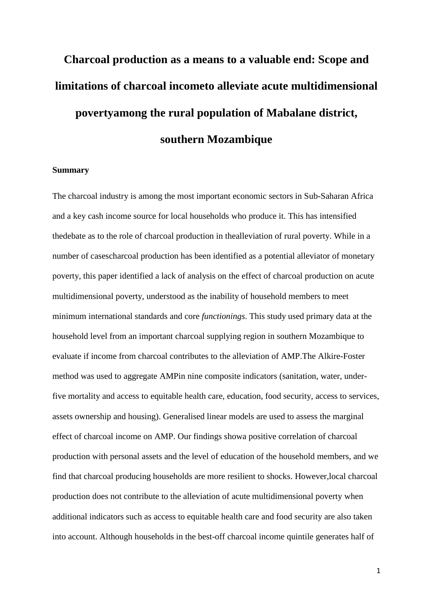# **Charcoal production as a means to a valuable end: Scope and limitations of charcoal incometo alleviate acute multidimensional povertyamong the rural population of Mabalane district, southern Mozambique**

# **Summary**

The charcoal industry is among the most important economic sectors in Sub-Saharan Africa and a key cash income source for local households who produce it. This has intensified thedebate as to the role of charcoal production in thealleviation of rural poverty. While in a number of casescharcoal production has been identified as a potential alleviator of monetary poverty, this paper identified a lack of analysis on the effect of charcoal production on acute multidimensional poverty, understood as the inability of household members to meet minimum international standards and core *functionings*. This study used primary data at the household level from an important charcoal supplying region in southern Mozambique to evaluate if income from charcoal contributes to the alleviation of AMP.The Alkire-Foster method was used to aggregate AMPin nine composite indicators (sanitation, water, underfive mortality and access to equitable health care, education, food security, access to services, assets ownership and housing). Generalised linear models are used to assess the marginal effect of charcoal income on AMP. Our findings showa positive correlation of charcoal production with personal assets and the level of education of the household members, and we find that charcoal producing households are more resilient to shocks. However,local charcoal production does not contribute to the alleviation of acute multidimensional poverty when additional indicators such as access to equitable health care and food security are also taken into account. Although households in the best-off charcoal income quintile generates half of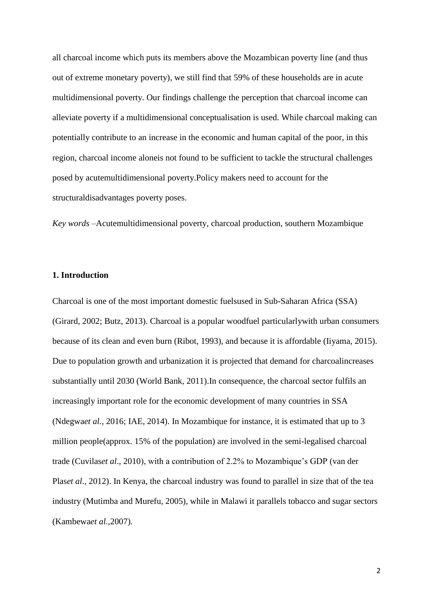all charcoal income which puts its members above the Mozambican poverty line (and thus out of extreme monetary poverty), we still find that 59% of these households are in acute multidimensional poverty. Our findings challenge the perception that charcoal income can alleviate poverty if a multidimensional conceptualisation is used. While charcoal making can potentially contribute to an increase in the economic and human capital of the poor, in this region, charcoal income aloneis not found to be sufficient to tackle the structural challenges posed by acutemultidimensional poverty.Policy makers need to account for the structuraldisadvantages poverty poses.

*Key words –*Acutemultidimensional poverty, charcoal production, southern Mozambique

# **1. Introduction**

Charcoal is one of the most important domestic fuelsused in Sub-Saharan Africa (SSA) (Girard, 2002; Butz, 2013). Charcoal is a popular woodfuel particularlywith urban consumers because of its clean and even burn (Ribot, 1993), and because it is affordable (Iiyama, 2015). Due to population growth and urbanization it is projected that demand for charcoalincreases substantially until 2030 (World Bank, 2011).In consequence, the charcoal sector fulfils an increasingly important role for the economic development of many countries in SSA (Ndegwa*et al.*, 2016; IAE, 2014). In Mozambique for instance, it is estimated that up to 3 million people(approx. 15% of the population) are involved in the semi-legalised charcoal trade (Cuvilas*et al*., 2010), with a contribution of 2.2% to Mozambique's GDP (van der Plas*et al*., 2012). In Kenya, the charcoal industry was found to parallel in size that of the tea industry (Mutimba and Murefu, 2005), while in Malawi it parallels tobacco and sugar sectors (Kambewa*et al.*,2007)*.*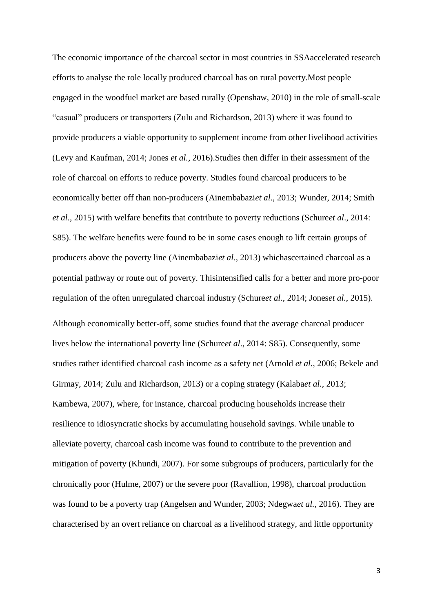The economic importance of the charcoal sector in most countries in SSAaccelerated research efforts to analyse the role locally produced charcoal has on rural poverty.Most people engaged in the woodfuel market are based rurally (Openshaw, 2010) in the role of small-scale "casual" producers or transporters (Zulu and Richardson, 2013) where it was found to provide producers a viable opportunity to supplement income from other livelihood activities (Levy and Kaufman, 2014; Jones *et al.,* 2016).Studies then differ in their assessment of the role of charcoal on efforts to reduce poverty. Studies found charcoal producers to be economically better off than non-producers (Ainembabazi*et al*., 2013; Wunder, 2014; Smith *et al*., 2015) with welfare benefits that contribute to poverty reductions (Schure*et al*., 2014: S85). The welfare benefits were found to be in some cases enough to lift certain groups of producers above the poverty line (Ainembabazi*et al*., 2013) whichascertained charcoal as a potential pathway or route out of poverty. Thisintensified calls for a better and more pro-poor regulation of the often unregulated charcoal industry (Schure*et al.*, 2014; Jones*et al.*, 2015).

Although economically better-off, some studies found that the average charcoal producer lives below the international poverty line (Schure*et al*., 2014: S85). Consequently, some studies rather identified charcoal cash income as a safety net (Arnold *et al.*, 2006; Bekele and Girmay, 2014; Zulu and Richardson, 2013) or a coping strategy (Kalaba*et al.,* 2013; Kambewa, 2007), where, for instance, charcoal producing households increase their resilience to idiosyncratic shocks by accumulating household savings. While unable to alleviate poverty, charcoal cash income was found to contribute to the prevention and mitigation of poverty (Khundi, 2007). For some subgroups of producers, particularly for the chronically poor (Hulme, 2007) or the severe poor (Ravallion, 1998), charcoal production was found to be a poverty trap (Angelsen and Wunder, 2003; Ndegwa*et al.,* 2016). They are characterised by an overt reliance on charcoal as a livelihood strategy, and little opportunity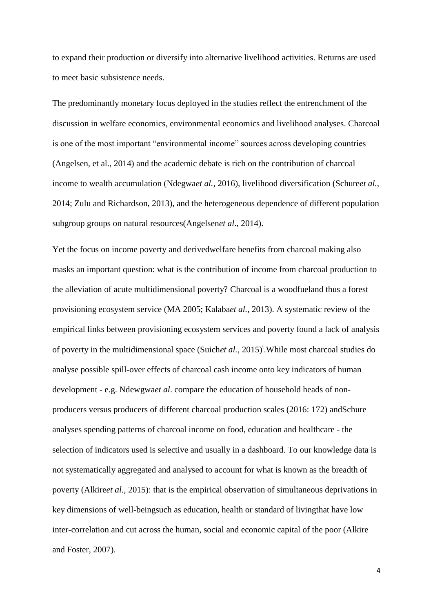to expand their production or diversify into alternative livelihood activities. Returns are used to meet basic subsistence needs.

The predominantly monetary focus deployed in the studies reflect the entrenchment of the discussion in welfare economics, environmental economics and livelihood analyses. Charcoal is one of the most important "environmental income" sources across developing countries (Angelsen, et al., 2014) and the academic debate is rich on the contribution of charcoal income to wealth accumulation (Ndegwa*et al.,* 2016), livelihood diversification (Schure*et al.*, 2014; Zulu and Richardson, 2013), and the heterogeneous dependence of different population subgroup groups on natural resources(Angelsen*et al*., 2014).

Yet the focus on income poverty and derivedwelfare benefits from charcoal making also masks an important question: what is the contribution of income from charcoal production to the alleviation of acute multidimensional poverty? Charcoal is a woodfueland thus a forest provisioning ecosystem service (MA 2005; Kalaba*et al.,* 2013). A systematic review of the empirical links between provisioning ecosystem services and poverty found a lack of analysis of poverty in the multidimensional space (Suichet al., 2015)<sup>1</sup>. While most charcoal studies do analyse possible spill-over effects of charcoal cash income onto key indicators of human development - e.g. Ndewgwa*et al*. compare the education of household heads of nonproducers versus producers of different charcoal production scales (2016: 172) andSchure analyses spending patterns of charcoal income on food, education and healthcare - the selection of indicators used is selective and usually in a dashboard. To our knowledge data is not systematically aggregated and analysed to account for what is known as the breadth of poverty (Alkire*et al.,* 2015): that is the empirical observation of simultaneous deprivations in key dimensions of well-beingsuch as education, health or standard of livingthat have low inter-correlation and cut across the human, social and economic capital of the poor (Alkire and Foster, 2007).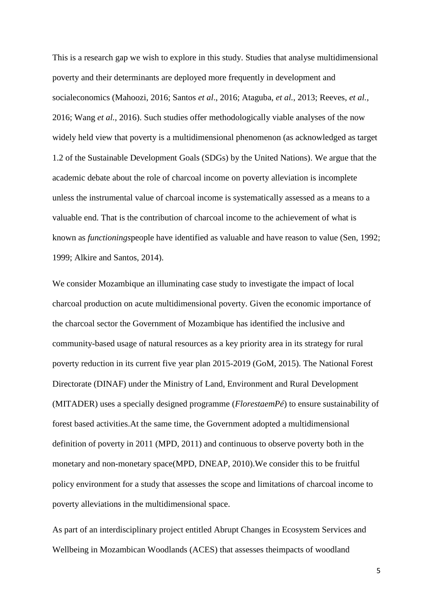This is a research gap we wish to explore in this study. Studies that analyse multidimensional poverty and their determinants are deployed more frequently in development and socialeconomics (Mahoozi, 2016; Santos *et al*., 2016; Ataguba, *et al.*, 2013; Reeves, *et al.,* 2016; Wang *et al.*, 2016). Such studies offer methodologically viable analyses of the now widely held view that poverty is a multidimensional phenomenon (as acknowledged as target 1.2 of the Sustainable Development Goals (SDGs) by the United Nations). We argue that the academic debate about the role of charcoal income on poverty alleviation is incomplete unless the instrumental value of charcoal income is systematically assessed as a means to a valuable end. That is the contribution of charcoal income to the achievement of what is known as *functionings*people have identified as valuable and have reason to value (Sen, 1992; 1999; Alkire and Santos, 2014).

We consider Mozambique an illuminating case study to investigate the impact of local charcoal production on acute multidimensional poverty. Given the economic importance of the charcoal sector the Government of Mozambique has identified the inclusive and community-based usage of natural resources as a key priority area in its strategy for rural poverty reduction in its current five year plan 2015-2019 (GoM, 2015). The National Forest Directorate (DINAF) under the Ministry of Land, Environment and Rural Development (MITADER) uses a specially designed programme (*FlorestaemPé*) to ensure sustainability of forest based activities.At the same time, the Government adopted a multidimensional definition of poverty in 2011 (MPD, 2011) and continuous to observe poverty both in the monetary and non-monetary space(MPD, DNEAP, 2010).We consider this to be fruitful policy environment for a study that assesses the scope and limitations of charcoal income to poverty alleviations in the multidimensional space.

As part of an interdisciplinary project entitled Abrupt Changes in Ecosystem Services and Wellbeing in Mozambican Woodlands (ACES) that assesses theimpacts of woodland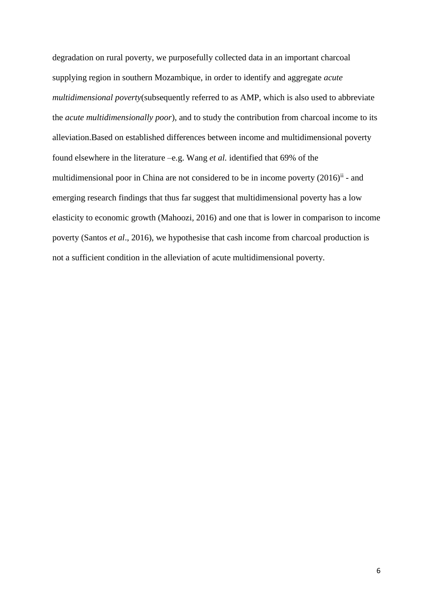degradation on rural poverty, we purposefully collected data in an important charcoal supplying region in southern Mozambique, in order to identify and aggregate *acute multidimensional poverty*(subsequently referred to as AMP, which is also used to abbreviate the *acute multidimensionally poor*), and to study the contribution from charcoal income to its alleviation.Based on established differences between income and multidimensional poverty found elsewhere in the literature –e.g. Wang *et al.* identified that 69% of the multidimensional poor in China are not considered to be in income poverty  $(2016)$ <sup>ii</sup> - and emerging research findings that thus far suggest that multidimensional poverty has a low elasticity to economic growth (Mahoozi, 2016) and one that is lower in comparison to income poverty (Santos *et al*., 2016), we hypothesise that cash income from charcoal production is not a sufficient condition in the alleviation of acute multidimensional poverty.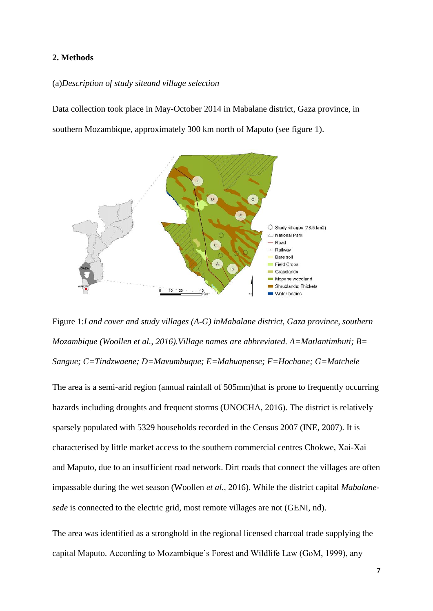# **2. Methods**

# (a)*Description of study siteand village selection*

Data collection took place in May-October 2014 in Mabalane district, Gaza province, in southern Mozambique, approximately 300 km north of Maputo (see figure 1).



Figure 1:*Land cover and study villages (A-G) inMabalane district, Gaza province, southern Mozambique (Woollen et al., 2016).Village names are abbreviated. A=Matlantimbuti; B= Sangue; C=Tindzwaene; D=Mavumbuque; E=Mabuapense; F=Hochane; G=Matchele*

The area is a semi-arid region (annual rainfall of 505mm)that is prone to frequently occurring hazards including droughts and frequent storms (UNOCHA, 2016). The district is relatively sparsely populated with 5329 households recorded in the Census 2007 (INE, 2007). It is characterised by little market access to the southern commercial centres Chokwe, Xai-Xai and Maputo, due to an insufficient road network. Dirt roads that connect the villages are often impassable during the wet season (Woollen *et al.*, 2016). While the district capital *Mabalanesede* is connected to the electric grid, most remote villages are not (GENI, nd).

The area was identified as a stronghold in the regional licensed charcoal trade supplying the capital Maputo. According to Mozambique's Forest and Wildlife Law (GoM, 1999), any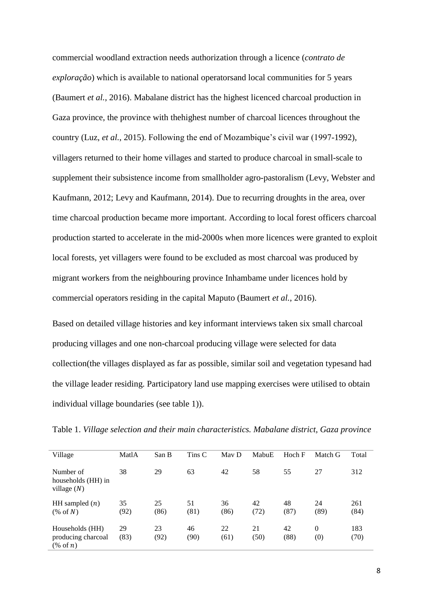commercial woodland extraction needs authorization through a licence (*contrato de exploração*) which is available to national operatorsand local communities for 5 years (Baumert *et al.*, 2016). Mabalane district has the highest licenced charcoal production in Gaza province, the province with thehighest number of charcoal licences throughout the country (Luz, *et al.*, 2015). Following the end of Mozambique's civil war (1997-1992), villagers returned to their home villages and started to produce charcoal in small-scale to supplement their subsistence income from smallholder agro-pastoralism (Levy, Webster and Kaufmann, 2012; Levy and Kaufmann, 2014). Due to recurring droughts in the area, over time charcoal production became more important. According to local forest officers charcoal production started to accelerate in the mid-2000s when more licences were granted to exploit local forests, yet villagers were found to be excluded as most charcoal was produced by migrant workers from the neighbouring province Inhambame under licences hold by commercial operators residing in the capital Maputo (Baumert *et al.*, 2016).

Based on detailed village histories and key informant interviews taken six small charcoal producing villages and one non-charcoal producing village were selected for data collection(the villages displayed as far as possible, similar soil and vegetation typesand had the village leader residing. Participatory land use mapping exercises were utilised to obtain individual village boundaries (see table 1)).

| Village                                                       | MatlA      | San B      | Tins C     | May D      | MabuE      | Hoch F     | Match G         | Total       |
|---------------------------------------------------------------|------------|------------|------------|------------|------------|------------|-----------------|-------------|
| Number of<br>households (HH) in<br>village $(N)$              | 38         | 29         | 63         | 42         | 58         | 55         | 27              | 312         |
| HH sampled $(n)$<br>$(\% \text{ of } N)$                      | 35<br>(92) | 25<br>(86) | 51<br>(81) | 36<br>(86) | 42<br>(72) | 48<br>(87) | 24<br>(89)      | 261<br>(84) |
| Households (HH)<br>producing charcoal<br>$(\% \text{ of } n)$ | 29<br>(83) | 23<br>(92) | 46<br>(90) | 22<br>(61) | 21<br>(50) | 42<br>(88) | $\Omega$<br>(0) | 183<br>(70) |

Table 1. *Village selection and their main characteristics. Mabalane district, Gaza province*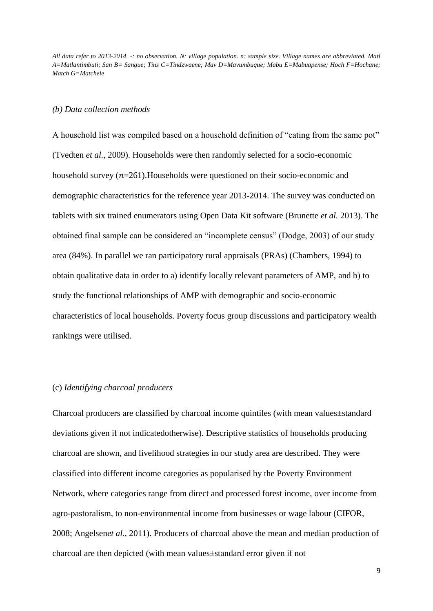*All data refer to 2013-2014. -: no observation. N: village population. n: sample size. Village names are abbreviated. Matl A=Matlantimbuti; San B= Sangue; Tins C=Tindzwaene; Mav D=Mavumbuque; Mabu E=Mabuapense; Hoch F=Hochane; Match G=Matchele*

# *(b) Data collection methods*

A household list was compiled based on a household definition of "eating from the same pot" (Tvedten *et al.*, 2009). Households were then randomly selected for a socio-economic household survey  $(n=261)$ . Households were questioned on their socio-economic and demographic characteristics for the reference year 2013-2014. The survey was conducted on tablets with six trained enumerators using Open Data Kit software (Brunette *et al.* 2013). The obtained final sample can be considered an "incomplete census" (Dodge, 2003) of our study area (84%). In parallel we ran participatory rural appraisals (PRAs) (Chambers, 1994) to obtain qualitative data in order to a) identify locally relevant parameters of AMP, and b) to study the functional relationships of AMP with demographic and socio-economic characteristics of local households. Poverty focus group discussions and participatory wealth rankings were utilised.

# (c) *Identifying charcoal producers*

Charcoal producers are classified by charcoal income quintiles (with mean values±standard deviations given if not indicatedotherwise). Descriptive statistics of households producing charcoal are shown, and livelihood strategies in our study area are described. They were classified into different income categories as popularised by the Poverty Environment Network, where categories range from direct and processed forest income, over income from agro-pastoralism, to non-environmental income from businesses or wage labour (CIFOR, 2008; Angelsen*et al.,* 2011). Producers of charcoal above the mean and median production of charcoal are then depicted (with mean values±standard error given if not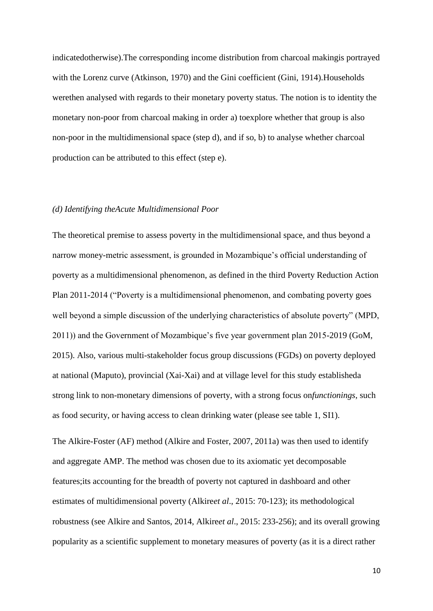indicatedotherwise).The corresponding income distribution from charcoal makingis portrayed with the Lorenz curve (Atkinson, 1970) and the Gini coefficient (Gini, 1914).Households werethen analysed with regards to their monetary poverty status. The notion is to identity the monetary non-poor from charcoal making in order a) toexplore whether that group is also non-poor in the multidimensional space (step d), and if so, b) to analyse whether charcoal production can be attributed to this effect (step e).

#### *(d) Identifying theAcute Multidimensional Poor*

The theoretical premise to assess poverty in the multidimensional space, and thus beyond a narrow money-metric assessment, is grounded in Mozambique's official understanding of poverty as a multidimensional phenomenon, as defined in the third Poverty Reduction Action Plan 2011-2014 ("Poverty is a multidimensional phenomenon, and combating poverty goes well beyond a simple discussion of the underlying characteristics of absolute poverty" (MPD, 2011)) and the Government of Mozambique's five year government plan 2015-2019 (GoM, 2015). Also, various multi-stakeholder focus group discussions (FGDs) on poverty deployed at national (Maputo), provincial (Xai-Xai) and at village level for this study establisheda strong link to non-monetary dimensions of poverty, with a strong focus on*functionings*, such as food security, or having access to clean drinking water (please see table 1, SI1).

The Alkire-Foster (AF) method (Alkire and Foster, 2007, 2011a) was then used to identify and aggregate AMP. The method was chosen due to its axiomatic yet decomposable features;its accounting for the breadth of poverty not captured in dashboard and other estimates of multidimensional poverty (Alkire*et al*., 2015: 70-123); its methodological robustness (see Alkire and Santos, 2014, Alkire*et al*., 2015: 233-256); and its overall growing popularity as a scientific supplement to monetary measures of poverty (as it is a direct rather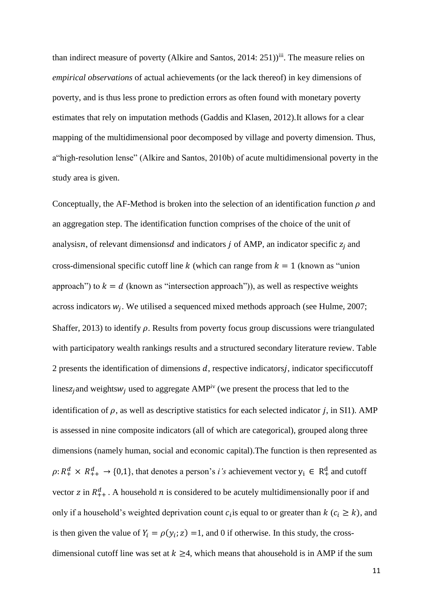than indirect measure of poverty (Alkire and Santos, 2014: 251))<sup>iii</sup>. The measure relies on *empirical observations* of actual achievements (or the lack thereof) in key dimensions of poverty, and is thus less prone to prediction errors as often found with monetary poverty estimates that rely on imputation methods (Gaddis and Klasen, 2012).It allows for a clear mapping of the multidimensional poor decomposed by village and poverty dimension. Thus, a"high-resolution lense" (Alkire and Santos, 2010b) of acute multidimensional poverty in the study area is given.

Conceptually, the AF-Method is broken into the selection of an identification function  $\rho$  and an aggregation step. The identification function comprises of the choice of the unit of analysisn, of relevant dimensions and indicators *j* of AMP, an indicator specific  $z_i$  and cross-dimensional specific cutoff line k (which can range from  $k = 1$  (known as "union approach") to  $k = d$  (known as "intersection approach")), as well as respective weights across indicators  $w_j$ . We utilised a sequenced mixed methods approach (see Hulme, 2007; Shaffer, 2013) to identify  $\rho$ . Results from poverty focus group discussions were triangulated with participatory wealth rankings results and a structured secondary literature review. Table 2 presents the identification of dimensions  $d$ , respective indicators $j$ , indicator specificcutoff linesz<sub>i</sub> and weights  $w_i$  used to aggregate AMP<sup>iv</sup> (we present the process that led to the identification of  $\rho$ , as well as descriptive statistics for each selected indicator *j*, in SI1). AMP is assessed in nine composite indicators (all of which are categorical), grouped along three dimensions (namely human, social and economic capital).The function is then represented as  $\rho: R_+^d \times R_{++}^d \to \{0,1\}$ , that denotes a person's *i*'s achievement vector  $y_i \in R_+^d$  and cutoff vector z in  $R_{++}^d$ . A household *n* is considered to be acutely multidimensionally poor if and only if a household's weighted deprivation count  $c_i$  is equal to or greater than  $k$  ( $c_i \ge k$ ), and is then given the value of  $Y_i = \rho(y_i; z) = 1$ , and 0 if otherwise. In this study, the crossdimensional cutoff line was set at  $k \geq 4$ , which means that ahousehold is in AMP if the sum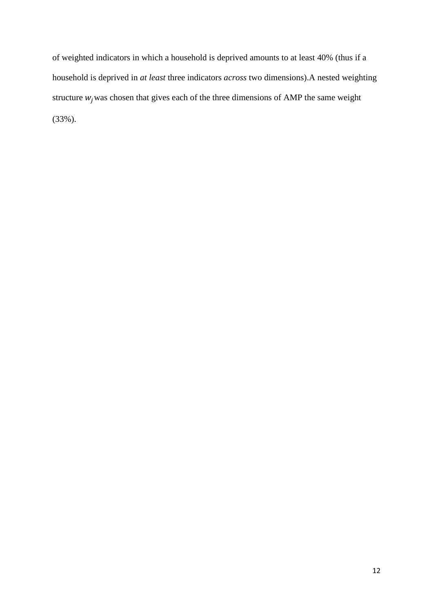of weighted indicators in which a household is deprived amounts to at least 40% (thus if a household is deprived in *at least* three indicators *across* two dimensions).A nested weighting structure  $w_i$  was chosen that gives each of the three dimensions of AMP the same weight (33%).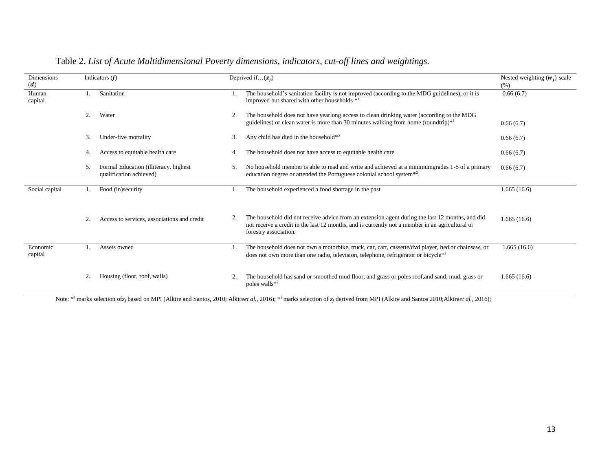| Dimensions<br>(d)   |    | Indicators $(j)$                                                 |    | Deprived if $(z_i)$                                                                                                                                                                                                         | Nested weighting $(w_i)$ scale<br>(% ) |
|---------------------|----|------------------------------------------------------------------|----|-----------------------------------------------------------------------------------------------------------------------------------------------------------------------------------------------------------------------------|----------------------------------------|
| Human<br>capital    |    | Sanitation                                                       | 1. | The household's sanitation facility is not improved (according to the MDG guidelines), or it is<br>improved but shared with other households *1                                                                             | 0.66(6.7)                              |
|                     | 2. | Water                                                            | 2. | The household does not have yearlong access to clean drinking water (according to the MDG<br>guidelines) or clean water is more than 30 minutes walking from home (roundtrip)*1                                             | 0.66(6.7)                              |
|                     | 3. | Under-five mortality                                             | 3. | Any child has died in the household*2                                                                                                                                                                                       | 0.66(6.7)                              |
|                     | 4. | Access to equitable health care                                  | 4. | The household does not have access to equitable health care                                                                                                                                                                 | 0.66(6.7)                              |
|                     | 5. | Formal Education (illiteracy, highest<br>qualification achieved) | 5. | No household member is able to read and write and achieved at a minimum grades 1-5 of a primary<br>education degree or attended the Portuguese colonial school system <sup>*2</sup> .                                       | 0.66(6.7)                              |
| Social capital      |    | Food (in)security                                                |    | The household experienced a food shortage in the past                                                                                                                                                                       | 1.665(16.6)                            |
|                     | 2. | Access to services, associations and credit                      | 2. | The household did not receive advice from an extension agent during the last 12 months, and did<br>not receive a credit in the last 12 months, and is currently not a member in an agricultural or<br>forestry association. | 1.665(16.6)                            |
| Economic<br>capital | 1. | Assets owned                                                     | 1. | The household does not own a motorbike, truck, car, cart, cassette/dvd player, bed or chainsaw, or<br>does not own more than one radio, television, telephone, refrigerator or bicycle*2                                    | 1.665(16.6)                            |
|                     | 2. | Housing (floor, roof, walls)                                     | 2. | The household has sand or smoothed mud floor, and grass or poles roof, and sand, mud, grass or<br>poles walls <sup>*2</sup>                                                                                                 | 1.665(16.6)                            |

# Table 2. *List of Acute Multidimensional Poverty dimensions, indicators, cut-off lines and weightings.*

Note: \*<sup>1</sup> marks selection of z<sub>j</sub> based on MPI (Alkire and Santos, 2010; Alkire*et al.*, 2016); \*<sup>2</sup> marks selection of z<sub>j</sub> derived from MPI (Alkire and Santos 2010;Alkire*et al.*, 2016);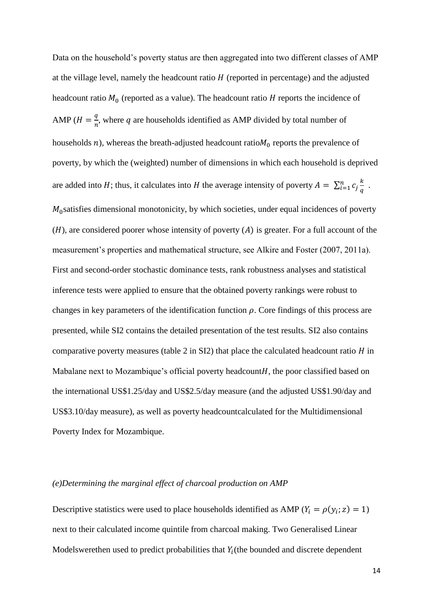Data on the household's poverty status are then aggregated into two different classes of AMP at the village level, namely the headcount ratio  $H$  (reported in percentage) and the adjusted headcount ratio  $M_0$  (reported as a value). The headcount ratio  $H$  reports the incidence of AMP  $(H = \frac{q}{q})$  $\frac{q}{n}$ , where q are households identified as AMP divided by total number of households  $n$ ), whereas the breath-adjusted headcount ratio $M_0$  reports the prevalence of poverty, by which the (weighted) number of dimensions in which each household is deprived are added into H; thus, it calculates into H the average intensity of poverty  $A = \sum_{i=1}^{n} c_i \frac{k}{a}$  $\overline{q}$  $\sum_{i=1}^n C_j \frac{k}{a}$ .  $M<sub>0</sub>$ satisfies dimensional monotonicity, by which societies, under equal incidences of poverty  $(H)$ , are considered poorer whose intensity of poverty  $(A)$  is greater. For a full account of the measurement's properties and mathematical structure, see Alkire and Foster (2007, 2011a). First and second-order stochastic dominance tests, rank robustness analyses and statistical inference tests were applied to ensure that the obtained poverty rankings were robust to changes in key parameters of the identification function  $\rho$ . Core findings of this process are presented, while SI2 contains the detailed presentation of the test results. SI2 also contains comparative poverty measures (table 2 in SI2) that place the calculated headcount ratio  $H$  in Mabalane next to Mozambique's official poverty headcount  $H$ , the poor classified based on the international US\$1.25/day and US\$2.5/day measure (and the adjusted US\$1.90/day and US\$3.10/day measure), as well as poverty headcountcalculated for the Multidimensional Poverty Index for Mozambique.

# *(e)Determining the marginal effect of charcoal production on AMP*

Descriptive statistics were used to place households identified as AMP ( $Y_i = \rho(y_i, z) = 1$ ) next to their calculated income quintile from charcoal making. Two Generalised Linear Modelswerethen used to predict probabilities that  $Y_i$  (the bounded and discrete dependent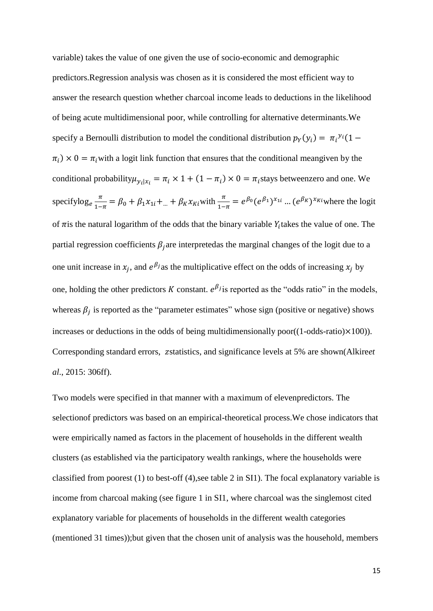variable) takes the value of one given the use of socio-economic and demographic predictors.Regression analysis was chosen as it is considered the most efficient way to answer the research question whether charcoal income leads to deductions in the likelihood of being acute multidimensional poor, while controlling for alternative determinants.We specify a Bernoulli distribution to model the conditional distribution  $p_Y(y_i) = \pi_i^{y_i} (1 \pi_i$ ) × 0 =  $\pi_i$  with a logit link function that ensures that the conditional meangiven by the conditional probability  $\mu_{y_i|x_i} = \pi_i \times 1 + (1 - \pi_i) \times 0 = \pi_i$  stays between zero and one. We specifylog<sub>e</sub> $\frac{\pi}{1}$  $\frac{\pi}{1-\pi} = \beta_0 + \beta_1 x_{1i} + ... + \beta_K x_{Ki}$  with  $\frac{\pi}{1-\pi} = e^{\beta_0} (e^{\beta_1})^{x_{1i}} ... (e^{\beta_K})^{x_{Ki}}$  where the logit of  $\pi$  is the natural logarithm of the odds that the binary variable  $Y_i$  takes the value of one. The partial regression coefficients  $\beta_i$  are interpretedas the marginal changes of the logit due to a one unit increase in  $x_j$ , and  $e^{\beta_j}$  as the multiplicative effect on the odds of increasing  $x_j$  by one, holding the other predictors K constant.  $e^{\beta j}$  is reported as the "odds ratio" in the models, whereas  $\beta_j$  is reported as the "parameter estimates" whose sign (positive or negative) shows increases or deductions in the odds of being multidimensionally poor( $(1$ -odds-ratio) $\times$ 100)). Corresponding standard errors, zstatistics, and significance levels at 5% are shown(Alkire*et al*., 2015: 306ff).

Two models were specified in that manner with a maximum of elevenpredictors. The selectionof predictors was based on an empirical-theoretical process.We chose indicators that were empirically named as factors in the placement of households in the different wealth clusters (as established via the participatory wealth rankings, where the households were classified from poorest (1) to best-off (4),see table 2 in SI1). The focal explanatory variable is income from charcoal making (see figure 1 in SI1, where charcoal was the singlemost cited explanatory variable for placements of households in the different wealth categories (mentioned 31 times));but given that the chosen unit of analysis was the household, members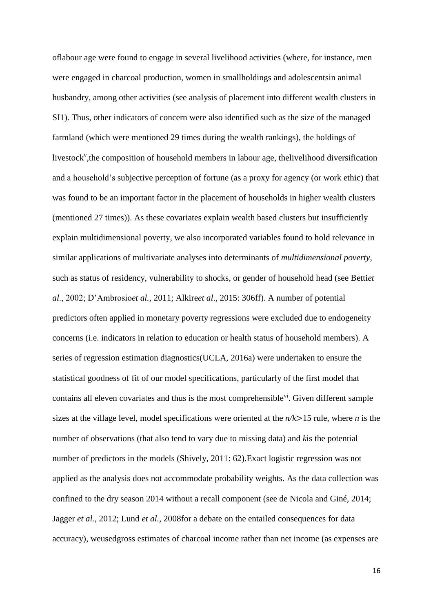oflabour age were found to engage in several livelihood activities (where, for instance, men were engaged in charcoal production, women in smallholdings and adolescentsin animal husbandry, among other activities (see analysis of placement into different wealth clusters in SI1). Thus, other indicators of concern were also identified such as the size of the managed farmland (which were mentioned 29 times during the wealth rankings), the holdings of livestock<sup>v</sup>, the composition of household members in labour age, thelivelihood diversification and a household's subjective perception of fortune (as a proxy for agency (or work ethic) that was found to be an important factor in the placement of households in higher wealth clusters (mentioned 27 times)). As these covariates explain wealth based clusters but insufficiently explain multidimensional poverty, we also incorporated variables found to hold relevance in similar applications of multivariate analyses into determinants of *multidimensional poverty*, such as status of residency, vulnerability to shocks, or gender of household head (see Betti*et al*., 2002; D'Ambrosio*et al.*, 2011; Alkire*et al*., 2015: 306ff). A number of potential predictors often applied in monetary poverty regressions were excluded due to endogeneity concerns (i.e. indicators in relation to education or health status of household members). A series of regression estimation diagnostics(UCLA, 2016a) were undertaken to ensure the statistical goodness of fit of our model specifications, particularly of the first model that contains all eleven covariates and thus is the most comprehensible<sup>vi</sup>. Given different sample sizes at the village level, model specifications were oriented at the *n/k*>15 rule, where *n* is the number of observations (that also tend to vary due to missing data) and *k*is the potential number of predictors in the models (Shively, 2011: 62).Exact logistic regression was not applied as the analysis does not accommodate probability weights. As the data collection was confined to the dry season 2014 without a recall component (see de Nicola and Giné, 2014; Jagger *et al.,* 2012; Lund *et al.,* 2008for a debate on the entailed consequences for data accuracy), weusedgross estimates of charcoal income rather than net income (as expenses are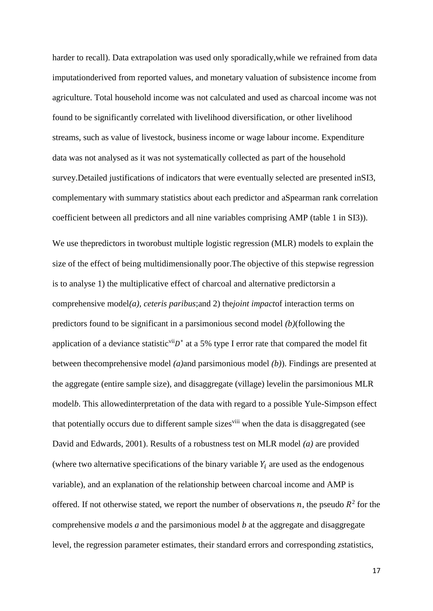harder to recall). Data extrapolation was used only sporadically,while we refrained from data imputationderived from reported values, and monetary valuation of subsistence income from agriculture. Total household income was not calculated and used as charcoal income was not found to be significantly correlated with livelihood diversification, or other livelihood streams, such as value of livestock, business income or wage labour income. Expenditure data was not analysed as it was not systematically collected as part of the household survey.Detailed justifications of indicators that were eventually selected are presented inSI3, complementary with summary statistics about each predictor and aSpearman rank correlation coefficient between all predictors and all nine variables comprising AMP (table 1 in SI3)).

We use thepredictors in tworobust multiple logistic regression (MLR) models to explain the size of the effect of being multidimensionally poor.The objective of this stepwise regression is to analyse 1) the multiplicative effect of charcoal and alternative predictorsin a comprehensive model*(a), ceteris paribus*;and 2) the*joint impact*of interaction terms on predictors found to be significant in a parsimonious second model *(b)*(following the application of a deviance statistic<sup>vii</sup> $D^*$  at a 5% type I error rate that compared the model fit between thecomprehensive model *(a)*and parsimonious model *(b)*). Findings are presented at the aggregate (entire sample size), and disaggregate (village) levelin the parsimonious MLR model*b*. This allowedinterpretation of the data with regard to a possible Yule-Simpson effect that potentially occurs due to different sample sizes<sup>viii</sup> when the data is disaggregated (see David and Edwards, 2001). Results of a robustness test on MLR model *(a)* are provided (where two alternative specifications of the binary variable  $Y_i$  are used as the endogenous variable), and an explanation of the relationship between charcoal income and AMP is offered. If not otherwise stated, we report the number of observations n, the pseudo  $R^2$  for the comprehensive models *a* and the parsimonious model *b* at the aggregate and disaggregate level, the regression parameter estimates, their standard errors and corresponding *z*statistics,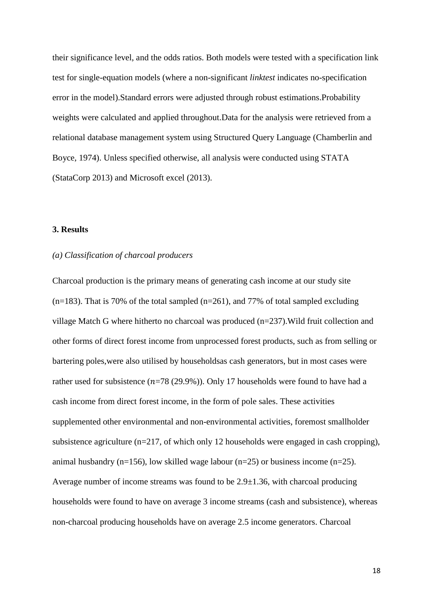their significance level, and the odds ratios. Both models were tested with a specification link test for single-equation models (where a non-significant *linktest* indicates no-specification error in the model).Standard errors were adjusted through robust estimations.Probability weights were calculated and applied throughout.Data for the analysis were retrieved from a relational database management system using Structured Query Language (Chamberlin and Boyce, 1974). Unless specified otherwise, all analysis were conducted using STATA (StataCorp 2013) and Microsoft excel (2013).

# **3. Results**

# *(a) Classification of charcoal producers*

Charcoal production is the primary means of generating cash income at our study site  $(n=183)$ . That is 70% of the total sampled  $(n=261)$ , and 77% of total sampled excluding village Match G where hitherto no charcoal was produced (n=237).Wild fruit collection and other forms of direct forest income from unprocessed forest products, such as from selling or bartering poles,were also utilised by householdsas cash generators, but in most cases were rather used for subsistence  $(n=78 (29.9\%))$ . Only 17 households were found to have had a cash income from direct forest income, in the form of pole sales. These activities supplemented other environmental and non-environmental activities, foremost smallholder subsistence agriculture ( $n=217$ , of which only 12 households were engaged in cash cropping), animal husbandry (n=156), low skilled wage labour (n=25) or business income (n=25). Average number of income streams was found to be 2.9±1.36, with charcoal producing households were found to have on average 3 income streams (cash and subsistence), whereas non-charcoal producing households have on average 2.5 income generators. Charcoal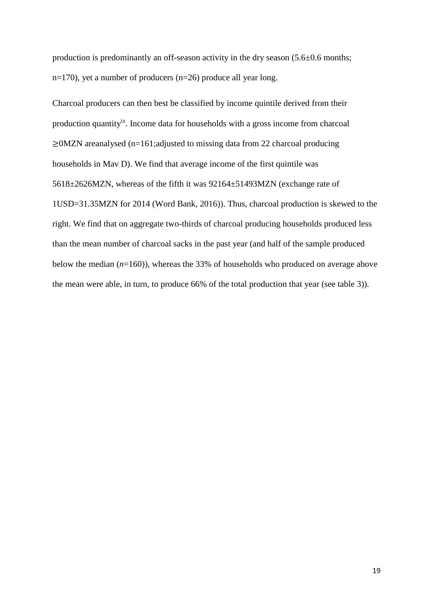production is predominantly an off-season activity in the dry season (5.6±0.6 months; n=170), yet a number of producers (n=26) produce all year long.

Charcoal producers can then best be classified by income quintile derived from their production quantity<sup>ix</sup>. Income data for households with a gross income from charcoal ≥0MZN areanalysed (n=161;adjusted to missing data from 22 charcoal producing households in Mav D). We find that average income of the first quintile was 5618±2626MZN, whereas of the fifth it was 92164±51493MZN (exchange rate of 1USD=31.35MZN for 2014 (Word Bank, 2016)). Thus, charcoal production is skewed to the right. We find that on aggregate two-thirds of charcoal producing households produced less than the mean number of charcoal sacks in the past year (and half of the sample produced below the median (*n*=160)), whereas the 33% of households who produced on average above the mean were able, in turn, to produce 66% of the total production that year (see table 3)).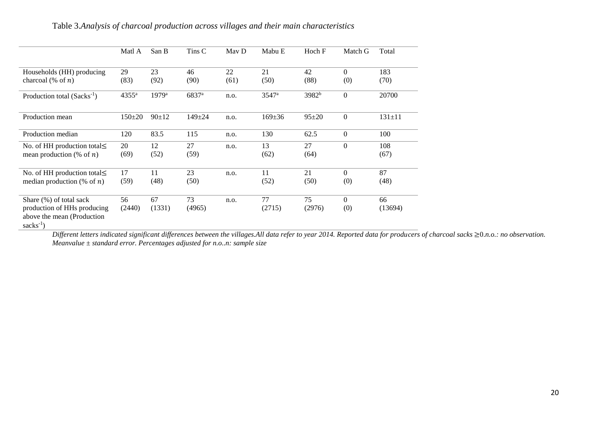# Table 3.*Analysis of charcoal production across villages and their main characteristics*

|                                                                                                      | Matl A            | San B               | Tins C            | May D | Mabu E            | Hoch F            | Match G         | Total         |
|------------------------------------------------------------------------------------------------------|-------------------|---------------------|-------------------|-------|-------------------|-------------------|-----------------|---------------|
| Households (HH) producing                                                                            | 29                | 23                  | 46                | 22    | 21                | 42                | $\Omega$        | 183           |
| charcoal $(\%$ of n)                                                                                 | (83)              | (92)                | (90)              | (61)  | (50)              | (88)              | (0)             | (70)          |
| Production total $(Sacks-1)$                                                                         | 4355 <sup>a</sup> | $1979$ <sup>a</sup> | 6837 <sup>a</sup> | n.o.  | 3547 <sup>a</sup> | 3982 <sup>b</sup> | $\Omega$        | 20700         |
| Production mean                                                                                      | $150 \pm 20$      | $90+12$             | $149 + 24$        | n.o.  | $169 \pm 36$      | $95 + 20$         | $\mathbf{0}$    | $131 \pm 11$  |
| Production median                                                                                    | 120               | 83.5                | 115               | n.o.  | 130               | 62.5              | $\theta$        | 100           |
| No. of HH production total $\leq$<br>mean production (% of $n$ )                                     | 20<br>(69)        | 12<br>(52)          | 27<br>(59)        | n.o.  | 13<br>(62)        | 27<br>(64)        | $\Omega$        | 108<br>(67)   |
| No. of HH production total $\leq$<br>median production (% of $n$ )                                   | 17<br>(59)        | 11<br>(48)          | 23<br>(50)        | n.o.  | 11<br>(52)        | 21<br>(50)        | $\Omega$<br>(0) | 87<br>(48)    |
| Share $(\%)$ of total sack<br>production of HHs producing<br>above the mean (Production<br>$sacks-1$ | 56<br>(2440)      | 67<br>(1331)        | 73<br>(4965)      | n.o.  | 77<br>(2715)      | 75<br>(2976)      | $\Omega$<br>(0) | 66<br>(13694) |

*Different letters indicated significant differences between the villages.All data refer to year 2014. Reported data for producers of charcoal sacks* ≥0.*n.o.: no observation. Meanvalue ± standard error. Percentages adjusted for n.o..n: sample size*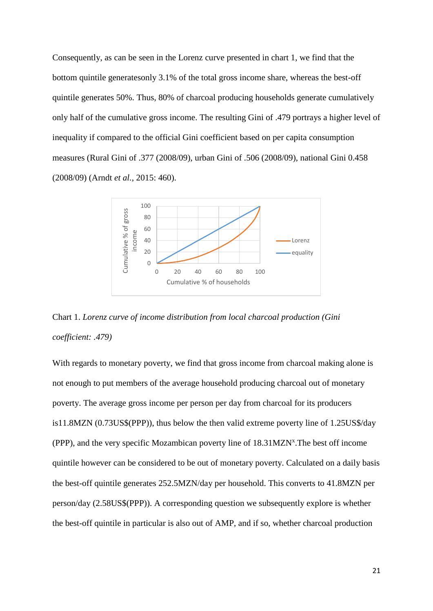Consequently, as can be seen in the Lorenz curve presented in chart 1, we find that the bottom quintile generatesonly 3.1% of the total gross income share, whereas the best-off quintile generates 50%. Thus, 80% of charcoal producing households generate cumulatively only half of the cumulative gross income. The resulting Gini of .479 portrays a higher level of inequality if compared to the official Gini coefficient based on per capita consumption measures (Rural Gini of .377 (2008/09), urban Gini of .506 (2008/09), national Gini 0.458 (2008/09) (Arndt *et al.,* 2015: 460).



Chart 1. *Lorenz curve of income distribution from local charcoal production (Gini coefficient: .479)*

With regards to monetary poverty, we find that gross income from charcoal making alone is not enough to put members of the average household producing charcoal out of monetary poverty. The average gross income per person per day from charcoal for its producers is11.8MZN (0.73US\$(PPP)), thus below the then valid extreme poverty line of 1.25US\$/day (PPP), and the very specific Mozambican poverty line of 18.31MZN<sup>x</sup>. The best off income quintile however can be considered to be out of monetary poverty. Calculated on a daily basis the best-off quintile generates 252.5MZN/day per household. This converts to 41.8MZN per person/day (2.58US\$(PPP)). A corresponding question we subsequently explore is whether the best-off quintile in particular is also out of AMP, and if so, whether charcoal production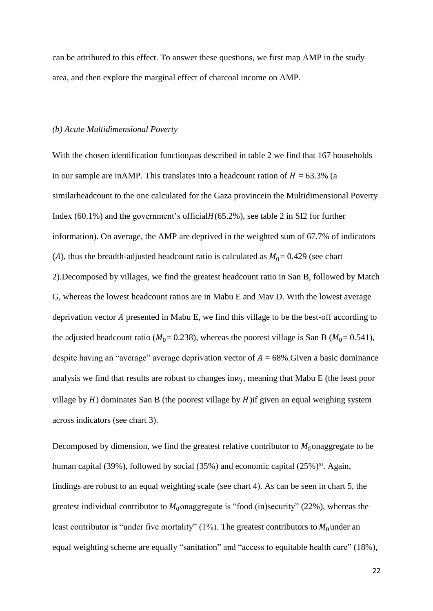can be attributed to this effect. To answer these questions, we first map AMP in the study area, and then explore the marginal effect of charcoal income on AMP.

#### *(b) Acute Multidimensional Poverty*

With the chosen identification function  $\rho$  as described in table 2 we find that 167 households in our sample are in AMP. This translates into a headcount ration of  $H = 63.3\%$  (a similarheadcount to the one calculated for the Gaza provincein the Multidimensional Poverty Index  $(60.1\%)$  and the government's official  $H(65.2\%)$ , see table 2 in SI2 for further information). On average, the AMP are deprived in the weighted sum of 67.7% of indicators (A), thus the breadth-adjusted headcount ratio is calculated as  $M_0$  = 0.429 (see chart 2).Decomposed by villages, we find the greatest headcount ratio in San B, followed by Match G, whereas the lowest headcount ratios are in Mabu E and Mav D. With the lowest average deprivation vector  $A$  presented in Mabu E, we find this village to be the best-off according to the adjusted headcount ratio ( $M_0$  = 0.238), whereas the poorest village is San B ( $M_0$  = 0.541), despite having an "average" average deprivation vector of  $A = 68\%$ . Given a basic dominance analysis we find that results are robust to changes in $w_j$ , meaning that Mabu E (the least poor village by  $H$ ) dominates San B (the poorest village by  $H$ ) if given an equal weighing system across indicators (see chart 3).

Decomposed by dimension, we find the greatest relative contributor to  $M_0$  on aggregate to be human capital (39%), followed by social (35%) and economic capital (25%)<sup>xi</sup>. Again, findings are robust to an equal weighting scale (see chart 4). As can be seen in chart 5, the greatest individual contributor to  $M_0$  onaggregate is "food (in)security" (22%), whereas the least contributor is "under five mortality" (1%). The greatest contributors to  $M_0$ under an equal weighting scheme are equally "sanitation" and "access to equitable health care" (18%),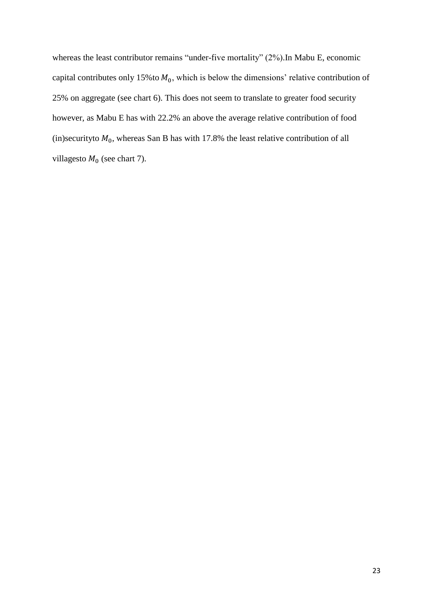whereas the least contributor remains "under-five mortality" (2%).In Mabu E, economic capital contributes only 15% to  $M_0$ , which is below the dimensions' relative contribution of 25% on aggregate (see chart 6). This does not seem to translate to greater food security however, as Mabu E has with 22.2% an above the average relative contribution of food (in)securityto  $M_0$ , whereas San B has with 17.8% the least relative contribution of all villagesto  $M_0$  (see chart 7).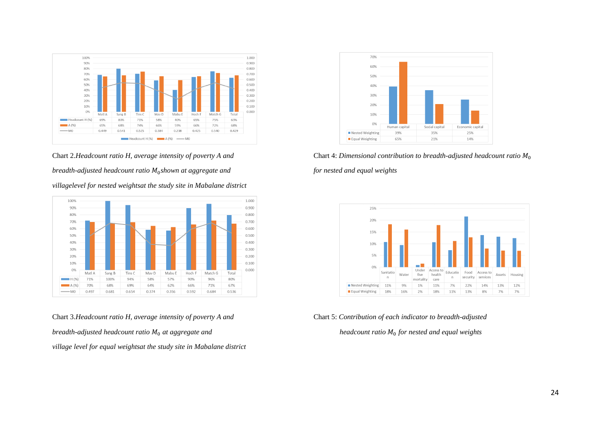

Chart 2.*Headcount ratio H, average intensity of poverty A and* Chart 4: *Dimensional contribution to breadth-adjusted headcount ratio*  $M_0$ *breadth-adjusted headcount ratio*  $M_0$ *shown at aggregate and villagelevel for nested weightsat the study site in Mabalane district*



Chart 3.*Headcount ratio H, average intensity of poverty A and* Chart 5: *Contribution of each indicator to breadth-adjusted breadth-adjusted headcount ratio*  $M_0$  *at aggregate and village level for equal weightsat the study site in Mabalane district*



*shown at aggregate and for nested and equal weights*



*headcount ratio*  $M_0$  *for nested and equal weights*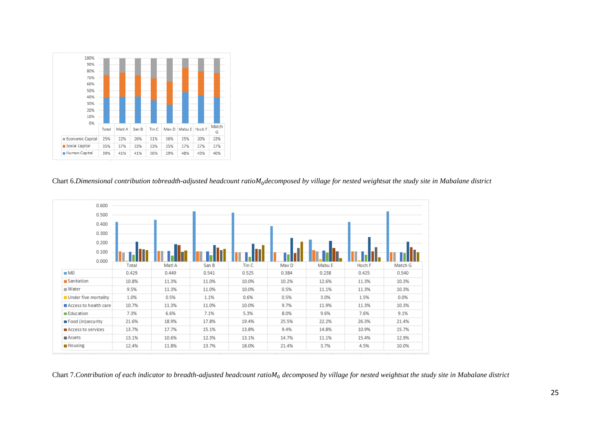

#### Chart 6.Dimensional contribution tobreadth-adjusted headcount ratio $M_0$ decomposed by village for nested weightsat the study site in Mabalane district



Chart 7.Contribution of each indicator to breadth-adjusted headcount ratioM<sub>0</sub> decomposed by village for nested weightsat the study site in Mabalane district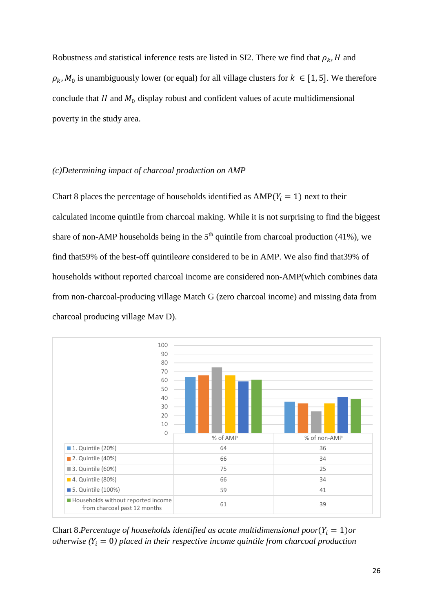Robustness and statistical inference tests are listed in SI2. There we find that  $\rho_k$ , H and  $\rho_k$ ,  $M_0$  is unambiguously lower (or equal) for all village clusters for  $k \in [1, 5]$ . We therefore conclude that  $H$  and  $M_0$  display robust and confident values of acute multidimensional poverty in the study area.

# *(c)Determining impact of charcoal production on AMP*

Chart 8 places the percentage of households identified as  $AMP(Y_i = 1)$  next to their calculated income quintile from charcoal making. While it is not surprising to find the biggest share of non-AMP households being in the  $5<sup>th</sup>$  quintile from charcoal production (41%), we find that59% of the best-off quintile*are* considered to be in AMP. We also find that39% of households without reported charcoal income are considered non-AMP(which combines data from non-charcoal-producing village Match G (zero charcoal income) and missing data from charcoal producing village Mav D).



Chart 8.*Percentage of households identified as acute multidimensional poor* $(Y_i = 1)$ *or otherwise*  $(Y_i = 0)$  placed in their respective income quintile from charcoal production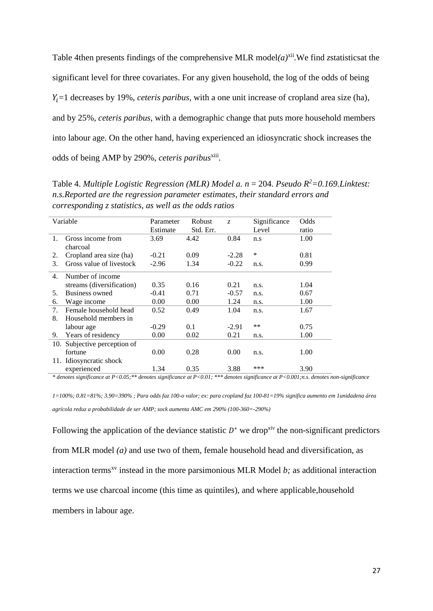Table 4then presents findings of the comprehensive MLR model $(a)^{xii}$ . We find *z*statistics at the significant level for three covariates. For any given household, the log of the odds of being  $Y_i = 1$  decreases by 19%, *ceteris paribus*, with a one unit increase of cropland area size (ha), and by 25%, *ceteris paribus*, with a demographic change that puts more household members into labour age. On the other hand, having experienced an idiosyncratic shock increases the odds of being AMP by 290%, ceteris paribus<sup>xiii</sup>.

Table 4. *Multiple Logistic Regression (MLR) Model a. n* = 204. *Pseudo R<sup>2</sup>=0.169.Linktest: n.s.Reported are the regression parameter estimates, their standard errors and corresponding z statistics, as well as the odds ratios*

|                | Variable                  | Parameter | Robust    | $Z_{\cdot}$ | Significance | Odds  |
|----------------|---------------------------|-----------|-----------|-------------|--------------|-------|
|                |                           | Estimate  | Std. Err. |             | Level        | ratio |
| $\mathbf{1}$ . | Gross income from         | 3.69      | 4.42      | 0.84        | n.s          | 1.00  |
|                | charcoal                  |           |           |             |              |       |
| 2.             | Cropland area size (ha)   | $-0.21$   | 0.09      | $-2.28$     | *            | 0.81  |
| 3.             | Gross value of livestock  | $-2.96$   | 1.34      | $-0.22$     | n.s.         | 0.99  |
| 4.             | Number of income          |           |           |             |              |       |
|                | streams (diversification) | 0.35      | 0.16      | 0.21        | n.s.         | 1.04  |
| 5.             | Business owned            | $-0.41$   | 0.71      | $-0.57$     | n.s.         | 0.67  |
| 6.             | Wage income               | 0.00      | 0.00      | 1.24        | n.s.         | 1.00  |
| 7.             | Female household head     | 0.52      | 0.49      | 1.04        | n.s.         | 1.67  |
| 8.             | Household members in      |           |           |             |              |       |
|                | labour age                | $-0.29$   | 0.1       | $-2.91$     | $***$        | 0.75  |
| 9.             | Years of residency        | 0.00      | 0.02      | 0.21        | n.s.         | 1.00  |
| 10.            | Subjective perception of  |           |           |             |              |       |
|                | fortune                   | 0.00      | 0.28      | 0.00        | n.s.         | 1.00  |
|                | 11. Idiosyncratic shock   |           |           |             |              |       |
|                | experienced               | 1.34      | 0.35      | 3.88        | ***          | 3.90  |

*\* denotes significance at P<0.05;\*\* denotes significance at P<0.01; \*\*\* denotes significance at P<0.001;n.s. denotes non-significance*

*1=100%; 0.81=81%; 3.90=390% ; Para odds faz 100-o valor; ex: para cropland faz 100-81=19% significa aumento em 1unidadena área agrícola reduz a probabilidade de ser AMP; sock aumenta AMC em 290% (100-360=-290%)*

Following the application of the deviance statistic  $D^*$  we drop<sup>*xiv*</sup> the non-significant predictors from MLR model *(a)* and use two of them, female household head and diversification, as interaction terms<sup>xv</sup> instead in the more parsimonious MLR Model  $b$ ; as additional interaction terms we use charcoal income (this time as quintiles), and where applicable,household members in labour age.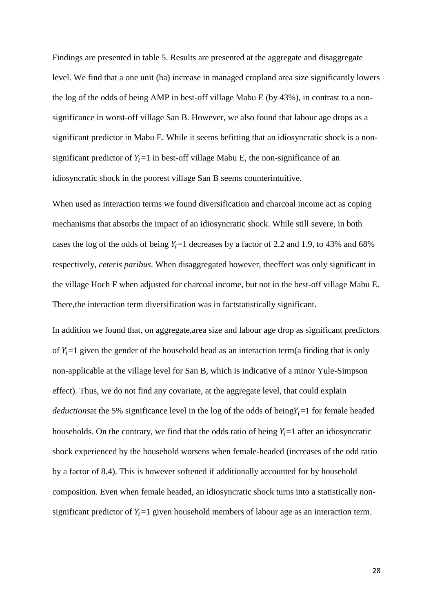Findings are presented in table 5. Results are presented at the aggregate and disaggregate level. We find that a one unit (ha) increase in managed cropland area size significantly lowers the log of the odds of being AMP in best-off village Mabu E (by 43%), in contrast to a nonsignificance in worst-off village San B. However, we also found that labour age drops as a significant predictor in Mabu E. While it seems befitting that an idiosyncratic shock is a nonsignificant predictor of  $Y_i = 1$  in best-off village Mabu E, the non-significance of an idiosyncratic shock in the poorest village San B seems counterintuitive.

When used as interaction terms we found diversification and charcoal income act as coping mechanisms that absorbs the impact of an idiosyncratic shock. While still severe, in both cases the log of the odds of being  $Y_i = 1$  decreases by a factor of 2.2 and 1.9, to 43% and 68% respectively, *ceteris paribus*. When disaggregated however, theeffect was only significant in the village Hoch F when adjusted for charcoal income, but not in the best-off village Mabu E. There,the interaction term diversification was in factstatistically significant.

In addition we found that, on aggregate,area size and labour age drop as significant predictors of  $Y_i = 1$  given the gender of the household head as an interaction term(a finding that is only non-applicable at the village level for San B, which is indicative of a minor Yule-Simpson effect). Thus, we do not find any covariate, at the aggregate level, that could explain *deductions* at the 5% significance level in the log of the odds of being $Y_i = 1$  for female headed households. On the contrary, we find that the odds ratio of being  $Y_i = 1$  after an idiosyncratic shock experienced by the household worsens when female-headed (increases of the odd ratio by a factor of 8.4). This is however softened if additionally accounted for by household composition. Even when female headed, an idiosyncratic shock turns into a statistically nonsignificant predictor of  $Y_i = 1$  given household members of labour age as an interaction term.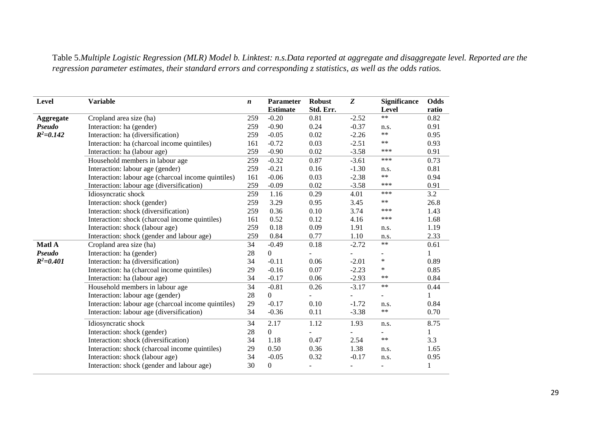Table 5.*Multiple Logistic Regression (MLR) Model b. Linktest: n.s.Data reported at aggregate and disaggregate level. Reported are the regression parameter estimates, their standard errors and corresponding z statistics, as well as the odds ratios.*

| <b>Level</b>     | <b>Variable</b>                                     | $\boldsymbol{n}$ | Parameter<br><b>Estimate</b> | <b>Robust</b><br>Std. Err. | Z       | <b>Significance</b><br><b>Level</b> | Odds<br>ratio |
|------------------|-----------------------------------------------------|------------------|------------------------------|----------------------------|---------|-------------------------------------|---------------|
| <b>Aggregate</b> | Cropland area size (ha)                             | 259              | $-0.20$                      | 0.81                       | $-2.52$ | $\ast\ast$                          | 0.82          |
| Pseudo           | Interaction: ha (gender)                            | 259              | $-0.90$                      | 0.24                       | $-0.37$ | n.s.                                | 0.91          |
| $R^2 = 0.142$    | Interaction: ha (diversification)                   | 259              | $-0.05$                      | 0.02                       | $-2.26$ | $***$                               | 0.95          |
|                  | Interaction: ha (charcoal income quintiles)         | 161              | $-0.72$                      | 0.03                       | $-2.51$ | $***$                               | 0.93          |
|                  | Interaction: ha (labour age)                        | 259              | $-0.90$                      | 0.02                       | $-3.58$ | ***                                 | 0.91          |
|                  | Household members in labour age                     | 259              | $-0.32$                      | 0.87                       | $-3.61$ | ***                                 | 0.73          |
|                  | Interaction: labour age (gender)                    | 259              | $-0.21$                      | 0.16                       | $-1.30$ | n.s.                                | 0.81          |
|                  | Interaction: labour age (charcoal income quintiles) | 161              | $-0.06$                      | 0.03                       | $-2.38$ | $***$                               | 0.94          |
|                  | Interaction: labour age (diversification)           | 259              | $-0.09$                      | 0.02                       | $-3.58$ | ***                                 | 0.91          |
|                  | Idiosyncratic shock                                 | 259              | 1.16                         | 0.29                       | 4.01    | ***                                 | 3.2           |
|                  | Interaction: shock (gender)                         | 259              | 3.29                         | 0.95                       | 3.45    | $***$                               | 26.8          |
|                  | Interaction: shock (diversification)                | 259              | 0.36                         | 0.10                       | 3.74    | ***                                 | 1.43          |
|                  | Interaction: shock (charcoal income quintiles)      | 161              | 0.52                         | 0.12                       | 4.16    | ***                                 | 1.68          |
|                  | Interaction: shock (labour age)                     | 259              | 0.18                         | 0.09                       | 1.91    | n.s.                                | 1.19          |
|                  | Interaction: shock (gender and labour age)          | 259              | 0.84                         | 0.77                       | 1.10    | n.s.                                | 2.33          |
| Matl A           | Cropland area size (ha)                             | 34               | $-0.49$                      | 0.18                       | $-2.72$ | $**$                                | 0.61          |
| Pseudo           | Interaction: ha (gender)                            | 28               | $\overline{0}$               |                            |         | $\overline{\phantom{0}}$            |               |
| $R^2 = 0.401$    | Interaction: ha (diversification)                   | 34               | $-0.11$                      | 0.06                       | $-2.01$ | $\ast$                              | 0.89          |
|                  | Interaction: ha (charcoal income quintiles)         | 29               | $-0.16$                      | 0.07                       | $-2.23$ | $\ast$                              | 0.85          |
|                  | Interaction: ha (labour age)                        | 34               | $-0.17$                      | 0.06                       | $-2.93$ | $***$                               | 0.84          |
|                  | Household members in labour age                     | 34               | $-0.81$                      | 0.26                       | $-3.17$ | $\ast\ast$                          | 0.44          |
|                  | Interaction: labour age (gender)                    | 28               | $\mathbf{0}$                 |                            |         |                                     |               |
|                  | Interaction: labour age (charcoal income quintiles) | 29               | $-0.17$                      | 0.10                       | $-1.72$ | n.s.                                | 0.84          |
|                  | Interaction: labour age (diversification)           | 34               | $-0.36$                      | 0.11                       | $-3.38$ | $***$                               | 0.70          |
|                  | Idiosyncratic shock                                 | 34               | 2.17                         | 1.12                       | 1.93    | n.s.                                | 8.75          |
|                  | Interaction: shock (gender)                         | 28               | $\mathbf{0}$                 |                            |         |                                     | 1             |
|                  | Interaction: shock (diversification)                | 34               | 1.18                         | 0.47                       | 2.54    | $***$                               | 3.3           |
|                  | Interaction: shock (charcoal income quintiles)      | 29               | 0.50                         | 0.36                       | 1.38    | n.s.                                | 1.65          |
|                  | Interaction: shock (labour age)                     | 34               | $-0.05$                      | 0.32                       | $-0.17$ | n.s.                                | 0.95          |
|                  | Interaction: shock (gender and labour age)          | 30               | $\Omega$                     |                            |         |                                     |               |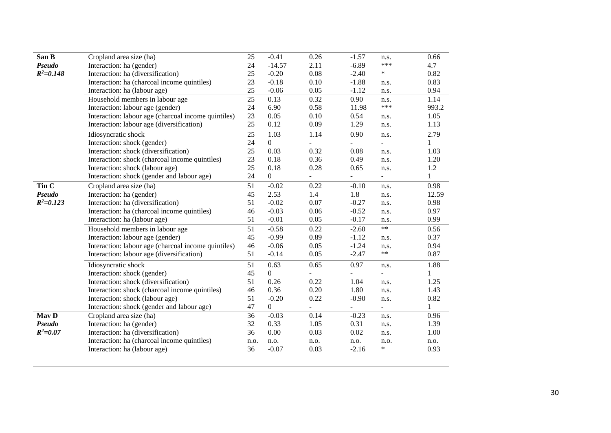| San B         | Cropland area size (ha)                             | 25   | $-0.41$        | 0.26 | $-1.57$                  | n.s.                     | 0.66         |
|---------------|-----------------------------------------------------|------|----------------|------|--------------------------|--------------------------|--------------|
| Pseudo        | Interaction: ha (gender)                            | 24   | $-14.57$       | 2.11 | $-6.89$                  | ***                      | 4.7          |
| $R^2 = 0.148$ | Interaction: ha (diversification)                   | 25   | $-0.20$        | 0.08 | $-2.40$                  | $\ast$                   | 0.82         |
|               | Interaction: ha (charcoal income quintiles)         | 23   | $-0.18$        | 0.10 | $-1.88$                  | n.s.                     | 0.83         |
|               | Interaction: ha (labour age)                        | 25   | $-0.06$        | 0.05 | $-1.12$                  | n.s.                     | 0.94         |
|               | Household members in labour age                     | 25   | 0.13           | 0.32 | 0.90                     | n.s.                     | 1.14         |
|               | Interaction: labour age (gender)                    | 24   | 6.90           | 0.58 | 11.98                    | ***                      | 993.2        |
|               | Interaction: labour age (charcoal income quintiles) | 23   | 0.05           | 0.10 | 0.54                     | n.s.                     | 1.05         |
|               | Interaction: labour age (diversification)           | 25   | 0.12           | 0.09 | 1.29                     | n.s.                     | 1.13         |
|               | Idiosyncratic shock                                 | 25   | 1.03           | 1.14 | 0.90                     | n.s.                     | 2.79         |
|               | Interaction: shock (gender)                         | 24   | $\mathbf{0}$   |      | $\overline{\phantom{a}}$ |                          | $\mathbf{1}$ |
|               | Interaction: shock (diversification)                | 25   | 0.03           | 0.32 | 0.08                     | n.s.                     | 1.03         |
|               | Interaction: shock (charcoal income quintiles)      | 23   | 0.18           | 0.36 | 0.49                     | n.s.                     | 1.20         |
|               | Interaction: shock (labour age)                     | 25   | 0.18           | 0.28 | 0.65                     | n.s.                     | 1.2          |
|               | Interaction: shock (gender and labour age)          | 24   | $\overline{0}$ |      | $\overline{\phantom{a}}$ | $\overline{\phantom{0}}$ | $\mathbf{1}$ |
| Tin C         | Cropland area size (ha)                             | 51   | $-0.02$        | 0.22 | $-0.10$                  | n.s.                     | 0.98         |
| Pseudo        | Interaction: ha (gender)                            | 45   | 2.53           | 1.4  | 1.8                      | n.s.                     | 12.59        |
| $R^2 = 0.123$ | Interaction: ha (diversification)                   | 51   | $-0.02$        | 0.07 | $-0.27$                  | n.s.                     | 0.98         |
|               | Interaction: ha (charcoal income quintiles)         | 46   | $-0.03$        | 0.06 | $-0.52$                  | n.s.                     | 0.97         |
|               | Interaction: ha (labour age)                        | 51   | $-0.01$        | 0.05 | $-0.17$                  | n.s.                     | 0.99         |
|               | Household members in labour age                     | 51   | $-0.58$        | 0.22 | $-2.60$                  | $**$                     | 0.56         |
|               | Interaction: labour age (gender)                    | 45   | $-0.99$        | 0.89 | $-1.12$                  | n.s.                     | 0.37         |
|               | Interaction: labour age (charcoal income quintiles) | 46   | $-0.06$        | 0.05 | $-1.24$                  | n.s.                     | 0.94         |
|               | Interaction: labour age (diversification)           | 51   | $-0.14$        | 0.05 | $-2.47$                  | **                       | 0.87         |
|               | Idiosyncratic shock                                 | 51   | 0.63           | 0.65 | 0.97                     | n.s.                     | 1.88         |
|               | Interaction: shock (gender)                         | 45   | $\Omega$       |      |                          |                          | 1            |
|               | Interaction: shock (diversification)                | 51   | 0.26           | 0.22 | 1.04                     | n.s.                     | 1.25         |
|               | Interaction: shock (charcoal income quintiles)      | 46   | 0.36           | 0.20 | 1.80                     | n.s.                     | 1.43         |
|               | Interaction: shock (labour age)                     | 51   | $-0.20$        | 0.22 | $-0.90$                  | n.s.                     | 0.82         |
|               | Interaction: shock (gender and labour age)          | 47   | $\overline{0}$ |      |                          | $\overline{\phantom{0}}$ | $\mathbf{1}$ |
| May D         | Cropland area size (ha)                             | 36   | $-0.03$        | 0.14 | $-0.23$                  | n.s.                     | 0.96         |
| Pseudo        | Interaction: ha (gender)                            | 32   | 0.33           | 1.05 | 0.31                     | n.s.                     | 1.39         |
| $R^2 = 0.07$  | Interaction: ha (diversification)                   | 36   | 0.00           | 0.03 | 0.02                     | n.s.                     | 1.00         |
|               | Interaction: ha (charcoal income quintiles)         | n.o. | n.o.           | n.o. | n.o.                     | n.o.                     | n.o.         |
|               | Interaction: ha (labour age)                        | 36   | $-0.07$        | 0.03 | $-2.16$                  | $\ast$                   | 0.93         |
|               |                                                     |      |                |      |                          |                          |              |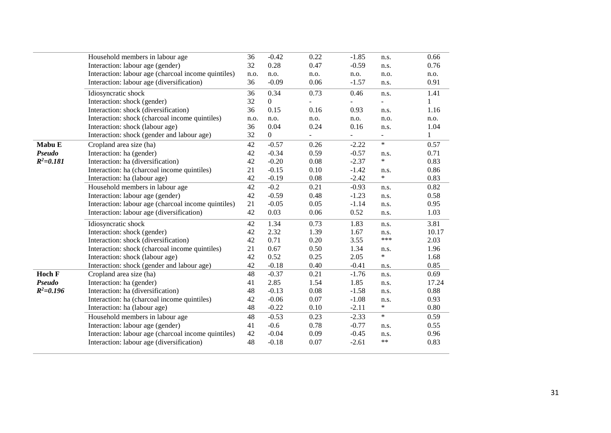|               | Household members in labour age                     | 36   | $-0.42$        | 0.22 | $-1.85$ | n.s.                     | 0.66  |
|---------------|-----------------------------------------------------|------|----------------|------|---------|--------------------------|-------|
|               | Interaction: labour age (gender)                    | 32   | 0.28           | 0.47 | $-0.59$ | n.s.                     | 0.76  |
|               | Interaction: labour age (charcoal income quintiles) | n.o. | n.o.           | n.o. | n.o.    | n.o.                     | n.o.  |
|               | Interaction: labour age (diversification)           | 36   | $-0.09$        | 0.06 | $-1.57$ | n.s.                     | 0.91  |
|               | Idiosyncratic shock                                 | 36   | 0.34           | 0.73 | 0.46    | n.s.                     | 1.41  |
|               | Interaction: shock (gender)                         | 32   | $\overline{0}$ |      |         |                          |       |
|               | Interaction: shock (diversification)                | 36   | 0.15           | 0.16 | 0.93    | n.s.                     | 1.16  |
|               | Interaction: shock (charcoal income quintiles)      | n.o. | n.o.           | n.o. | n.o.    | n.o.                     | n.o.  |
|               | Interaction: shock (labour age)                     | 36   | 0.04           | 0.24 | 0.16    | n.s.                     | 1.04  |
|               | Interaction: shock (gender and labour age)          | 32   | $\mathbf{0}$   |      |         | $\overline{\phantom{a}}$ | 1     |
| Mabu E        | Cropland area size (ha)                             | 42   | $-0.57$        | 0.26 | $-2.22$ | $\ast$                   | 0.57  |
| Pseudo        | Interaction: ha (gender)                            | 42   | $-0.34$        | 0.59 | $-0.57$ | n.s.                     | 0.71  |
| $R^2 = 0.181$ | Interaction: ha (diversification)                   | 42   | $-0.20$        | 0.08 | $-2.37$ | $\ast$                   | 0.83  |
|               | Interaction: ha (charcoal income quintiles)         | 21   | $-0.15$        | 0.10 | $-1.42$ | n.s.                     | 0.86  |
|               | Interaction: ha (labour age)                        | 42   | $-0.19$        | 0.08 | $-2.42$ | $\ast$                   | 0.83  |
|               | Household members in labour age                     | 42   | $-0.2$         | 0.21 | $-0.93$ | n.s.                     | 0.82  |
|               | Interaction: labour age (gender)                    | 42   | $-0.59$        | 0.48 | $-1.23$ | n.s.                     | 0.58  |
|               | Interaction: labour age (charcoal income quintiles) | 21   | $-0.05$        | 0.05 | $-1.14$ | n.s.                     | 0.95  |
|               | Interaction: labour age (diversification)           | 42   | 0.03           | 0.06 | 0.52    | n.s.                     | 1.03  |
|               | Idiosyncratic shock                                 | 42   | 1.34           | 0.73 | 1.83    | n.s.                     | 3.81  |
|               | Interaction: shock (gender)                         | 42   | 2.32           | 1.39 | 1.67    | n.s.                     | 10.17 |
|               | Interaction: shock (diversification)                | 42   | 0.71           | 0.20 | 3.55    | ***                      | 2.03  |
|               | Interaction: shock (charcoal income quintiles)      | 21   | 0.67           | 0.50 | 1.34    | n.s.                     | 1.96  |
|               | Interaction: shock (labour age)                     | 42   | 0.52           | 0.25 | 2.05    | $\ast$                   | 1.68  |
|               | Interaction: shock (gender and labour age)          | 42   | $-0.18$        | 0.40 | $-0.41$ | n.s.                     | 0.85  |
| <b>Hoch F</b> | Cropland area size (ha)                             | 48   | $-0.37$        | 0.21 | $-1.76$ | n.s.                     | 0.69  |
| Pseudo        | Interaction: ha (gender)                            | 41   | 2.85           | 1.54 | 1.85    | n.s.                     | 17.24 |
| $R^2 = 0.196$ | Interaction: ha (diversification)                   | 48   | $-0.13$        | 0.08 | $-1.58$ | n.s.                     | 0.88  |
|               | Interaction: ha (charcoal income quintiles)         | 42   | $-0.06$        | 0.07 | $-1.08$ | n.s.                     | 0.93  |
|               | Interaction: ha (labour age)                        | 48   | $-0.22$        | 0.10 | $-2.11$ | $\ast$                   | 0.80  |
|               | Household members in labour age                     | 48   | $-0.53$        | 0.23 | $-2.33$ | $\ast$                   | 0.59  |
|               | Interaction: labour age (gender)                    | 41   | $-0.6$         | 0.78 | $-0.77$ | n.s.                     | 0.55  |
|               | Interaction: labour age (charcoal income quintiles) | 42   | $-0.04$        | 0.09 | $-0.45$ | n.s.                     | 0.96  |
|               | Interaction: labour age (diversification)           | 48   | $-0.18$        | 0.07 | $-2.61$ | $***$                    | 0.83  |
|               |                                                     |      |                |      |         |                          |       |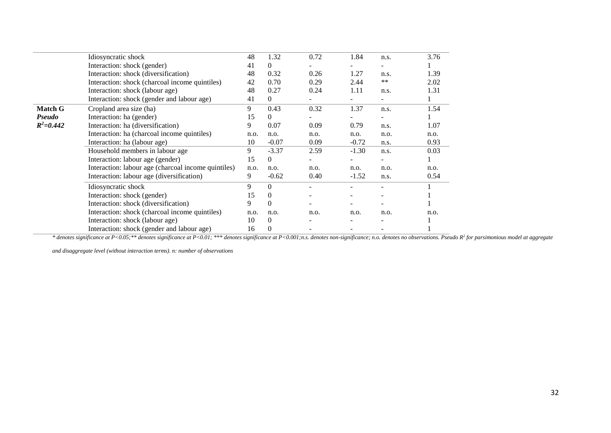|                | Idiosyncratic shock                                 | 48   | 1.32         | 0.72 | 1.84    | n.s.                                                                                  | 3.76 |
|----------------|-----------------------------------------------------|------|--------------|------|---------|---------------------------------------------------------------------------------------|------|
|                | Interaction: shock (gender)                         | 41   | $\theta$     |      |         | n.s.<br>$***$<br>n.s.<br>n.s.<br>n.s.<br>n.o.<br>n.s.<br>n.s.<br>n.o.<br>n.s.<br>n.o. |      |
|                | Interaction: shock (diversification)                | 48   | 0.32         | 0.26 | 1.27    |                                                                                       | 1.39 |
|                | Interaction: shock (charcoal income quintiles)      | 42   | 0.70         | 0.29 | 2.44    |                                                                                       | 2.02 |
|                | Interaction: shock (labour age)                     | 48   | 0.27         | 0.24 | 1.11    |                                                                                       | 1.31 |
|                | Interaction: shock (gender and labour age)          | 41   | $\theta$     |      |         |                                                                                       |      |
| <b>Match G</b> | Cropland area size (ha)                             | 9    | 0.43         | 0.32 | 1.37    |                                                                                       | 1.54 |
| <b>Pseudo</b>  | Interaction: ha (gender)                            | 15   | $\Omega$     |      |         |                                                                                       |      |
| $R^2 = 0.442$  | Interaction: ha (diversification)                   | 9    | 0.07         | 0.09 | 0.79    |                                                                                       | 1.07 |
|                | Interaction: ha (charcoal income quintiles)         | n.o. | n.o.         | n.o. | n.o.    |                                                                                       | n.o. |
|                | Interaction: ha (labour age)                        | 10   | $-0.07$      | 0.09 | $-0.72$ |                                                                                       | 0.93 |
|                | Household members in labour age                     | 9    | $-3.37$      | 2.59 | $-1.30$ |                                                                                       | 0.03 |
|                | Interaction: labour age (gender)                    | 15   | $\Omega$     |      |         |                                                                                       |      |
|                | Interaction: labour age (charcoal income quintiles) | n.o. | n.o.         | n.o. | n.o.    |                                                                                       | n.o. |
|                | Interaction: labour age (diversification)           | 9    | $-0.62$      | 0.40 | $-1.52$ |                                                                                       | 0.54 |
|                | Idiosyncratic shock                                 | 9    | $\Omega$     |      |         |                                                                                       |      |
|                | Interaction: shock (gender)                         | 15   | $\theta$     |      |         |                                                                                       |      |
|                | Interaction: shock (diversification)                | 9    | $\Omega$     |      |         |                                                                                       |      |
|                | Interaction: shock (charcoal income quintiles)      | n.o. | n.o.         | n.o. | n.o.    |                                                                                       | n.o. |
|                | Interaction: shock (labour age)                     | 10   | $\theta$     |      |         |                                                                                       |      |
|                | Interaction: shock (gender and labour age)          | 16   | $\mathbf{0}$ |      |         |                                                                                       |      |

\* denotes significance at P<0.05;\*\* denotes significance at P<0.01; \*\*\* denotes significance at P<0.001;n.s. denotes non-significance; n.o. denotes no observations. Pseudo R<sup>2</sup> for parsimonious model at aggregate

*and disaggregate level (without interaction terms). n: number of observations*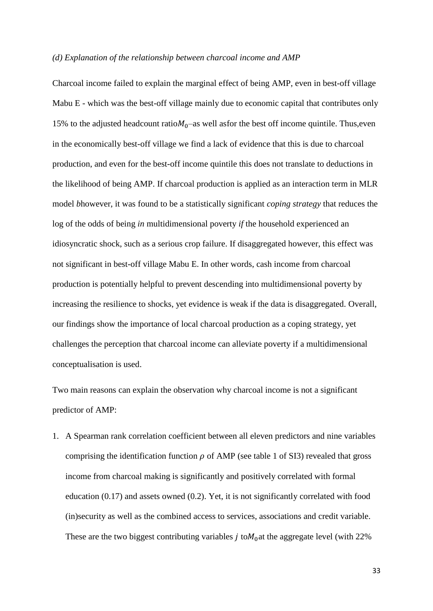#### *(d) Explanation of the relationship between charcoal income and AMP*

Charcoal income failed to explain the marginal effect of being AMP, even in best-off village Mabu E - which was the best-off village mainly due to economic capital that contributes only 15% to the adjusted headcount ratio $M_0$ –as well asfor the best off income quintile. Thus, even in the economically best-off village we find a lack of evidence that this is due to charcoal production, and even for the best-off income quintile this does not translate to deductions in the likelihood of being AMP. If charcoal production is applied as an interaction term in MLR model *b*however, it was found to be a statistically significant *coping strategy* that reduces the log of the odds of being *in* multidimensional poverty *if* the household experienced an idiosyncratic shock, such as a serious crop failure. If disaggregated however, this effect was not significant in best-off village Mabu E. In other words, cash income from charcoal production is potentially helpful to prevent descending into multidimensional poverty by increasing the resilience to shocks, yet evidence is weak if the data is disaggregated. Overall, our findings show the importance of local charcoal production as a coping strategy, yet challenges the perception that charcoal income can alleviate poverty if a multidimensional conceptualisation is used.

Two main reasons can explain the observation why charcoal income is not a significant predictor of AMP:

1. A Spearman rank correlation coefficient between all eleven predictors and nine variables comprising the identification function  $\rho$  of AMP (see table 1 of SI3) revealed that gross income from charcoal making is significantly and positively correlated with formal education (0.17) and assets owned (0.2). Yet, it is not significantly correlated with food (in)security as well as the combined access to services, associations and credit variable. These are the two biggest contributing variables  $j$  to $M<sub>0</sub>$  at the aggregate level (with 22%)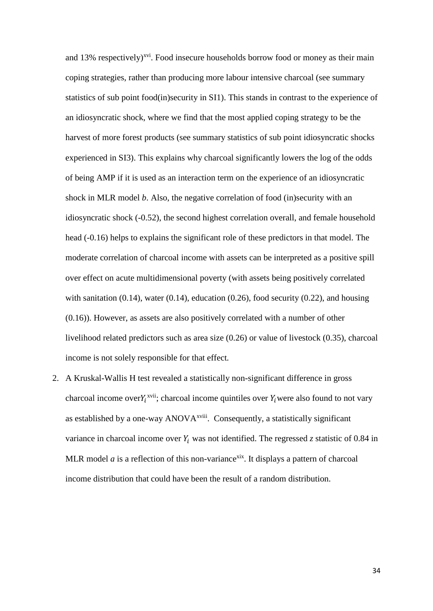and 13% respectively)<sup>xvi</sup>. Food insecure households borrow food or money as their main coping strategies, rather than producing more labour intensive charcoal (see summary statistics of sub point food(in)security in SI1). This stands in contrast to the experience of an idiosyncratic shock, where we find that the most applied coping strategy to be the harvest of more forest products (see summary statistics of sub point idiosyncratic shocks experienced in SI3). This explains why charcoal significantly lowers the log of the odds of being AMP if it is used as an interaction term on the experience of an idiosyncratic shock in MLR model *b*. Also, the negative correlation of food (in)security with an idiosyncratic shock (-0.52), the second highest correlation overall, and female household head (-0.16) helps to explains the significant role of these predictors in that model. The moderate correlation of charcoal income with assets can be interpreted as a positive spill over effect on acute multidimensional poverty (with assets being positively correlated with sanitation  $(0.14)$ , water  $(0.14)$ , education  $(0.26)$ , food security  $(0.22)$ , and housing (0.16)). However, as assets are also positively correlated with a number of other livelihood related predictors such as area size (0.26) or value of livestock (0.35), charcoal income is not solely responsible for that effect*.* 

2. A Kruskal-Wallis H test revealed a statistically non-significant difference in gross charcoal income over  $Y_i^{\text{xvii}}$ ; charcoal income quintiles over  $Y_i$  were also found to not vary as established by a one-way ANOVA<sup>xviii</sup>. Consequently, a statistically significant variance in charcoal income over  $Y_i$  was not identified. The regressed *z* statistic of 0.84 in MLR model  $a$  is a reflection of this non-variance<sup>xix</sup>. It displays a pattern of charcoal income distribution that could have been the result of a random distribution.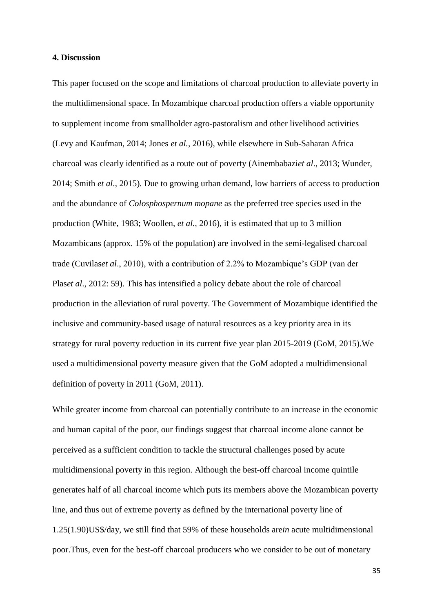#### **4. Discussion**

This paper focused on the scope and limitations of charcoal production to alleviate poverty in the multidimensional space. In Mozambique charcoal production offers a viable opportunity to supplement income from smallholder agro-pastoralism and other livelihood activities (Levy and Kaufman, 2014; Jones *et al.,* 2016), while elsewhere in Sub-Saharan Africa charcoal was clearly identified as a route out of poverty (Ainembabazi*et al*., 2013; Wunder, 2014; Smith *et al*., 2015). Due to growing urban demand, low barriers of access to production and the abundance of *Colosphospernum mopane* as the preferred tree species used in the production (White, 1983; Woollen, *et al.*, 2016), it is estimated that up to 3 million Mozambicans (approx. 15% of the population) are involved in the semi-legalised charcoal trade (Cuvilas*et al*., 2010), with a contribution of 2.2% to Mozambique's GDP (van der Plas*et al*., 2012: 59). This has intensified a policy debate about the role of charcoal production in the alleviation of rural poverty. The Government of Mozambique identified the inclusive and community-based usage of natural resources as a key priority area in its strategy for rural poverty reduction in its current five year plan 2015-2019 (GoM, 2015).We used a multidimensional poverty measure given that the GoM adopted a multidimensional definition of poverty in 2011 (GoM, 2011).

While greater income from charcoal can potentially contribute to an increase in the economic and human capital of the poor, our findings suggest that charcoal income alone cannot be perceived as a sufficient condition to tackle the structural challenges posed by acute multidimensional poverty in this region. Although the best-off charcoal income quintile generates half of all charcoal income which puts its members above the Mozambican poverty line, and thus out of extreme poverty as defined by the international poverty line of 1.25(1.90)US\$/day, we still find that 59% of these households are*in* acute multidimensional poor.Thus, even for the best-off charcoal producers who we consider to be out of monetary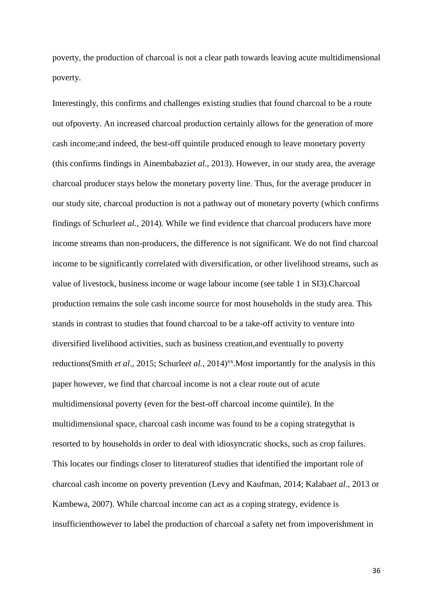poverty, the production of charcoal is not a clear path towards leaving acute multidimensional poverty.

Interestingly, this confirms and challenges existing studies that found charcoal to be a route out ofpoverty. An increased charcoal production certainly allows for the generation of more cash income;and indeed, the best-off quintile produced enough to leave monetary poverty (this confirms findings in Ainembabazi*et al.*, 2013). However, in our study area, the average charcoal producer stays below the monetary poverty line. Thus, for the average producer in our study site, charcoal production is not a pathway out of monetary poverty (which confirms findings of Schurle*et al*., 2014). While we find evidence that charcoal producers have more income streams than non-producers, the difference is not significant. We do not find charcoal income to be significantly correlated with diversification, or other livelihood streams, such as value of livestock, business income or wage labour income (see table 1 in SI3).Charcoal production remains the sole cash income source for most households in the study area. This stands in contrast to studies that found charcoal to be a take-off activity to venture into diversified livelihood activities, such as business creation,and eventually to poverty reductions(Smith *et al.*, 2015; Schurle*et al.*, 2014)<sup>xx</sup>. Most importantly for the analysis in this paper however, we find that charcoal income is not a clear route out of acute multidimensional poverty (even for the best-off charcoal income quintile). In the multidimensional space, charcoal cash income was found to be a coping strategythat is resorted to by households in order to deal with idiosyncratic shocks, such as crop failures. This locates our findings closer to literatureof studies that identified the important role of charcoal cash income on poverty prevention (Levy and Kaufman, 2014; Kalaba*et al*., 2013 or Kambewa, 2007). While charcoal income can act as a coping strategy, evidence is insufficienthowever to label the production of charcoal a safety net from impoverishment in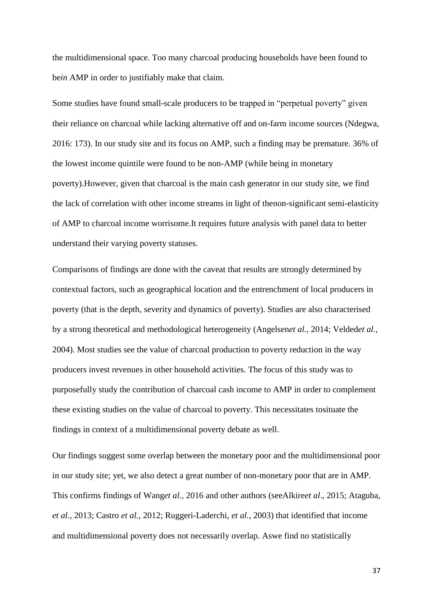the multidimensional space. Too many charcoal producing households have been found to be*in* AMP in order to justifiably make that claim.

Some studies have found small-scale producers to be trapped in "perpetual poverty" given their reliance on charcoal while lacking alternative off and on-farm income sources (Ndegwa, 2016: 173). In our study site and its focus on AMP, such a finding may be premature. 36% of the lowest income quintile were found to be non-AMP (while being in monetary poverty).However, given that charcoal is the main cash generator in our study site, we find the lack of correlation with other income streams in light of thenon-significant semi-elasticity of AMP to charcoal income worrisome.It requires future analysis with panel data to better understand their varying poverty statuses.

Comparisons of findings are done with the caveat that results are strongly determined by contextual factors, such as geographical location and the entrenchment of local producers in poverty (that is the depth, severity and dynamics of poverty). Studies are also characterised by a strong theoretical and methodological heterogeneity (Angelsen*et al.,* 2014; Velded*et al.,* 2004). Most studies see the value of charcoal production to poverty reduction in the way producers invest revenues in other household activities. The focus of this study was to purposefully study the contribution of charcoal cash income to AMP in order to complement these existing studies on the value of charcoal to poverty. This necessitates tosituate the findings in context of a multidimensional poverty debate as well.

Our findings suggest some overlap between the monetary poor and the multidimensional poor in our study site; yet, we also detect a great number of non-monetary poor that are in AMP. This confirms findings of Wang*et al.,* 2016 and other authors (seeAlkire*et al*., 2015; Ataguba, *et al.*, 2013; Castro *et al.*, 2012; Ruggeri-Laderchi, *et al.,* 2003) that identified that income and multidimensional poverty does not necessarily overlap. Aswe find no statistically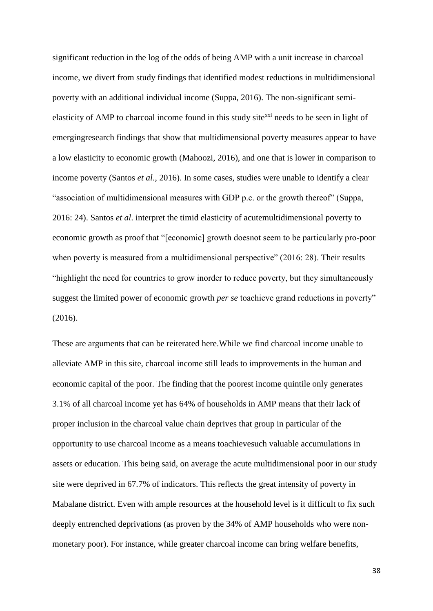significant reduction in the log of the odds of being AMP with a unit increase in charcoal income, we divert from study findings that identified modest reductions in multidimensional poverty with an additional individual income (Suppa, 2016). The non-significant semielasticity of AMP to charcoal income found in this study site<sup>xxi</sup> needs to be seen in light of emergingresearch findings that show that multidimensional poverty measures appear to have a low elasticity to economic growth (Mahoozi, 2016), and one that is lower in comparison to income poverty (Santos *et al*., 2016). In some cases, studies were unable to identify a clear "association of multidimensional measures with GDP p.c. or the growth thereof" (Suppa, 2016: 24). Santos *et al*. interpret the timid elasticity of acutemultidimensional poverty to economic growth as proof that "[economic] growth doesnot seem to be particularly pro-poor when poverty is measured from a multidimensional perspective" (2016: 28). Their results "highlight the need for countries to grow inorder to reduce poverty, but they simultaneously suggest the limited power of economic growth *per se* toachieve grand reductions in poverty" (2016).

These are arguments that can be reiterated here.While we find charcoal income unable to alleviate AMP in this site, charcoal income still leads to improvements in the human and economic capital of the poor. The finding that the poorest income quintile only generates 3.1% of all charcoal income yet has 64% of households in AMP means that their lack of proper inclusion in the charcoal value chain deprives that group in particular of the opportunity to use charcoal income as a means toachievesuch valuable accumulations in assets or education. This being said, on average the acute multidimensional poor in our study site were deprived in 67.7% of indicators. This reflects the great intensity of poverty in Mabalane district. Even with ample resources at the household level is it difficult to fix such deeply entrenched deprivations (as proven by the 34% of AMP households who were nonmonetary poor). For instance, while greater charcoal income can bring welfare benefits,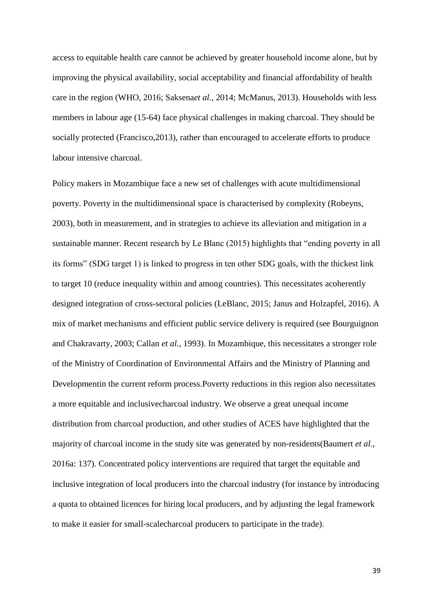access to equitable health care cannot be achieved by greater household income alone, but by improving the physical availability, social acceptability and financial affordability of health care in the region (WHO, 2016; Saksena*et al.*, 2014; McManus, 2013). Households with less members in labour age (15-64) face physical challenges in making charcoal. They should be socially protected (Francisco,2013), rather than encouraged to accelerate efforts to produce labour intensive charcoal.

Policy makers in Mozambique face a new set of challenges with acute multidimensional poverty. Poverty in the multidimensional space is characterised by complexity (Robeyns, 2003), both in measurement, and in strategies to achieve its alleviation and mitigation in a sustainable manner. Recent research by Le Blanc (2015) highlights that "ending poverty in all its forms" (SDG target 1) is linked to progress in ten other SDG goals, with the thickest link to target 10 (reduce inequality within and among countries). This necessitates acoherently designed integration of cross-sectoral policies (LeBlanc, 2015; Janus and Holzapfel, 2016). A mix of market mechanisms and efficient public service delivery is required (see Bourguignon and Chakravarty, 2003; Callan *et al.,* 1993). In Mozambique, this necessitates a stronger role of the Ministry of Coordination of Environmental Affairs and the Ministry of Planning and Developmentin the current reform process.Poverty reductions in this region also necessitates a more equitable and inclusivecharcoal industry. We observe a great unequal income distribution from charcoal production, and other studies of ACES have highlighted that the majority of charcoal income in the study site was generated by non-residents(Baumert *et al.*, 2016a: 137). Concentrated policy interventions are required that target the equitable and inclusive integration of local producers into the charcoal industry (for instance by introducing a quota to obtained licences for hiring local producers, and by adjusting the legal framework to make it easier for small-scalecharcoal producers to participate in the trade).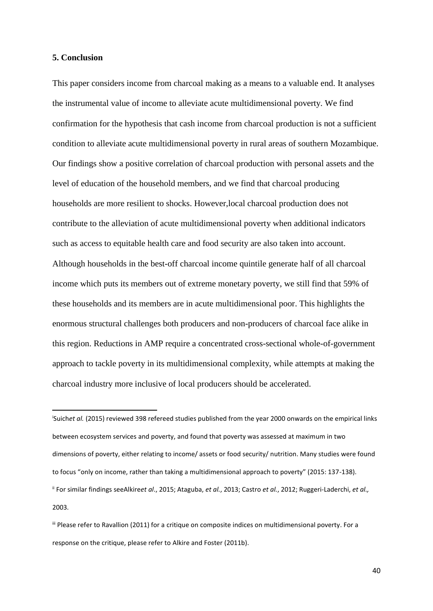# **5. Conclusion**

**.** 

This paper considers income from charcoal making as a means to a valuable end. It analyses the instrumental value of income to alleviate acute multidimensional poverty. We find confirmation for the hypothesis that cash income from charcoal production is not a sufficient condition to alleviate acute multidimensional poverty in rural areas of southern Mozambique. Our findings show a positive correlation of charcoal production with personal assets and the level of education of the household members, and we find that charcoal producing households are more resilient to shocks. However,local charcoal production does not contribute to the alleviation of acute multidimensional poverty when additional indicators such as access to equitable health care and food security are also taken into account. Although households in the best-off charcoal income quintile generate half of all charcoal income which puts its members out of extreme monetary poverty, we still find that 59% of these households and its members are in acute multidimensional poor. This highlights the enormous structural challenges both producers and non-producers of charcoal face alike in this region. Reductions in AMP require a concentrated cross-sectional whole-of-government approach to tackle poverty in its multidimensional complexity, while attempts at making the charcoal industry more inclusive of local producers should be accelerated.

i Suich*et al.* (2015) reviewed 398 refereed studies published from the year 2000 onwards on the empirical links between ecosystem services and poverty, and found that poverty was assessed at maximum in two dimensions of poverty, either relating to income/ assets or food security/ nutrition. Many studies were found to focus "only on income, rather than taking a multidimensional approach to poverty" (2015: 137-138). ii For similar findings seeAlkire*et al*., 2015; Ataguba, *et al.*, 2013; Castro *et al.*, 2012; Ruggeri-Laderchi, *et al.,*  2003.

iii Please refer to Ravallion (2011) for a critique on composite indices on multidimensional poverty. For a response on the critique, please refer to Alkire and Foster (2011b).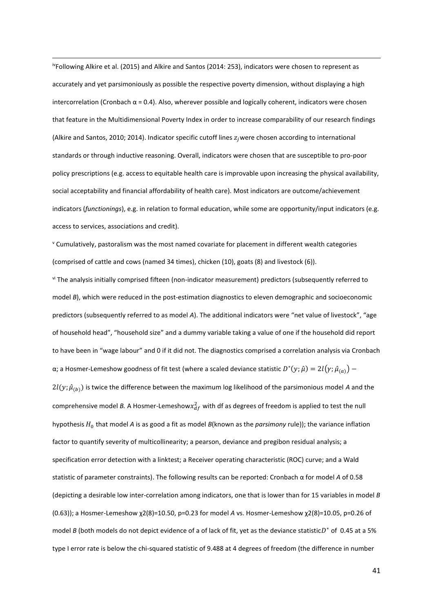ivFollowing Alkire et al. (2015) and Alkire and Santos (2014: 253), indicators were chosen to represent as accurately and yet parsimoniously as possible the respective poverty dimension, without displaying a high intercorrelation (Cronbach  $\alpha$  = 0.4). Also, wherever possible and logically coherent, indicators were chosen that feature in the Multidimensional Poverty Index in order to increase comparability of our research findings (Alkire and Santos, 2010; 2014). Indicator specific cutoff lines  $z_j$ were chosen according to international standards or through inductive reasoning. Overall, indicators were chosen that are susceptible to pro-poor policy prescriptions (e.g. access to equitable health care is improvable upon increasing the physical availability, social acceptability and financial affordability of health care). Most indicators are outcome/achievement indicators (*functionings*), e.g. in relation to formal education, while some are opportunity/input indicators (e.g. access to services, associations and credit).

**.** 

<sup>v</sup> Cumulatively, pastoralism was the most named covariate for placement in different wealth categories (comprised of cattle and cows (named 34 times), chicken (10), goats (8) and livestock (6)).

vi The analysis initially comprised fifteen (non-indicator measurement) predictors (subsequently referred to model *B*), which were reduced in the post-estimation diagnostics to eleven demographic and socioeconomic predictors (subsequently referred to as model *A*). The additional indicators were "net value of livestock", "age of household head", "household size" and a dummy variable taking a value of one if the household did report to have been in "wage labour" and 0 if it did not. The diagnostics comprised a correlation analysis via Cronbach α; a Hosmer-Lemeshow goodness of fit test (where a scaled deviance statistic  $D^*(y; \hat{\mu}) = 2l(y; \hat{\mu}_{(a)}) -$ 

 $2l(y; \hat{\mu}_{(h)})$  is twice the difference between the maximum log likelihood of the parsimonious model *A* and the comprehensive model B. A Hosmer-Lemeshow $x_{df}^2$  with df as degrees of freedom is applied to test the null hypothesis  $H_0$  that model A is as good a fit as model B(known as the *parsimony* rule)); the variance inflation factor to quantify severity of multicollinearity; a pearson, deviance and pregibon residual analysis; a specification error detection with a linktest; a Receiver operating characteristic (ROC) curve; and a Wald statistic of parameter constraints). The following results can be reported: Cronbach α for model *A* of 0.58 (depicting a desirable low inter-correlation among indicators, one that is lower than for 15 variables in model *B* (0.63)); a Hosmer-Lemeshow χ2(8)=10.50, p=0.23 for model *A* vs. Hosmer-Lemeshow χ2(8)=10.05, p=0.26 of model *B* (both models do not depict evidence of a of lack of fit, yet as the deviance statistic $D^*$  of 0.45 at a 5% type I error rate is below the chi-squared statistic of 9.488 at 4 degrees of freedom (the difference in number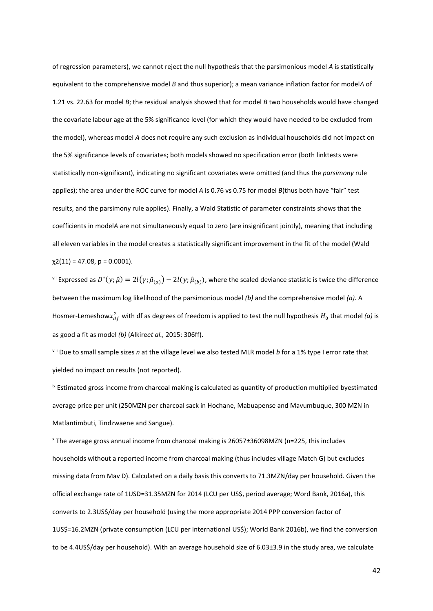of regression parameters), we cannot reject the null hypothesis that the parsimonious model *A* is statistically equivalent to the comprehensive model *B* and thus superior); a mean variance inflation factor for model*A* of 1.21 vs. 22.63 for model *B*; the residual analysis showed that for model *B* two households would have changed the covariate labour age at the 5% significance level (for which they would have needed to be excluded from the model), whereas model *A* does not require any such exclusion as individual households did not impact on the 5% significance levels of covariates; both models showed no specification error (both linktests were statistically non-significant), indicating no significant covariates were omitted (and thus the *parsimony* rule applies); the area under the ROC curve for model *A* is 0.76 vs 0.75 for model *B*(thus both have "fair" test results, and the parsimony rule applies). Finally, a Wald Statistic of parameter constraints shows that the coefficients in model*A* are not simultaneously equal to zero (are insignificant jointly), meaning that including all eleven variables in the model creates a statistically significant improvement in the fit of the model (Wald  $\chi$ 2(11) = 47.08, p = 0.0001).

**.** 

 $S^{\rm vi}$  Expressed as  $D^*(y;\hat\mu)=2l(y;\hat\mu_{(a)})-2l(y;\hat\mu_{(b)})$ , where the scaled deviance statistic is twice the difference between the maximum log likelihood of the parsimonious model *(b)* and the comprehensive model *(a).* A Hosmer-Lemeshow $x_{df}^2$  with df as degrees of freedom is applied to test the null hypothesis  $H_0$  that model (a) is as good a fit as model *(b)* (Alkire*et al.,* 2015: 306ff).

viii Due to small sample sizes *n* at the village level we also tested MLR model *b* for a 1% type I error rate that yielded no impact on results (not reported).

ix Estimated gross income from charcoal making is calculated as quantity of production multiplied byestimated average price per unit (250MZN per charcoal sack in Hochane, Mabuapense and Mavumbuque, 300 MZN in Matlantimbuti, Tindzwaene and Sangue).

<sup>x</sup> The average gross annual income from charcoal making is 26057±36098MZN (n=225, this includes households without a reported income from charcoal making (thus includes village Match G) but excludes missing data from Mav D). Calculated on a daily basis this converts to 71.3MZN/day per household. Given the official exchange rate of 1USD=31.35MZN for 2014 (LCU per US\$, period average; Word Bank, 2016a), this converts to 2.3US\$/day per household (using the more appropriate 2014 PPP conversion factor of 1US\$=16.2MZN (private consumption (LCU per international US\$); World Bank 2016b), we find the conversion to be 4.4US\$/day per household). With an average household size of 6.03±3.9 in the study area, we calculate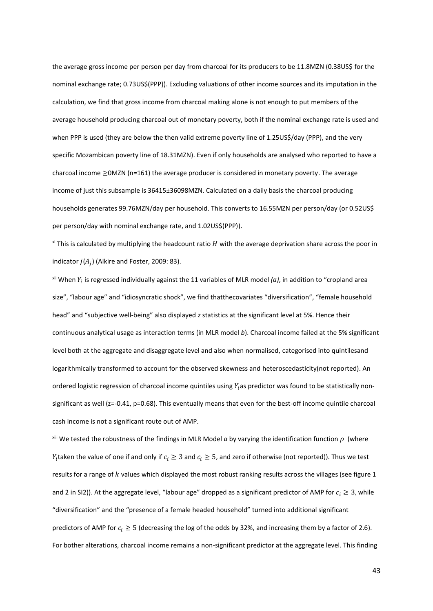the average gross income per person per day from charcoal for its producers to be 11.8MZN (0.38US\$ for the nominal exchange rate; 0.73US\$(PPP)). Excluding valuations of other income sources and its imputation in the calculation, we find that gross income from charcoal making alone is not enough to put members of the average household producing charcoal out of monetary poverty, both if the nominal exchange rate is used and when PPP is used (they are below the then valid extreme poverty line of 1.25US\$/day (PPP), and the very specific Mozambican poverty line of 18.31MZN). Even if only households are analysed who reported to have a charcoal income ≥0MZN (n=161) the average producer is considered in monetary poverty. The average income of just this subsample is 36415±36098MZN. Calculated on a daily basis the charcoal producing households generates 99.76MZN/day per household. This converts to 16.55MZN per person/day (or 0.52US\$ per person/day with nominal exchange rate, and 1.02US\$(PPP)).

**.** 

 $\frac{x}{x}$  This is calculated by multiplying the headcount ratio H with the average deprivation share across the poor in indicator  $j(A_j)$  (Alkire and Foster, 2009: 83).

 $x$ <sup>ii</sup> When  $Y_i$  is regressed individually against the 11 variables of MLR model *(a)*, in addition to "cropland area size", "labour age" and "idiosyncratic shock", we find thatthecovariates "diversification", "female household head" and "subjective well-being" also displayed *z* statistics at the significant level at 5%. Hence their continuous analytical usage as interaction terms (in MLR model *b*). Charcoal income failed at the 5% significant level both at the aggregate and disaggregate level and also when normalised, categorised into quintilesand logarithmically transformed to account for the observed skewness and heteroscedasticity(not reported). An ordered logistic regression of charcoal income quintiles using  $Y_i$  as predictor was found to be statistically nonsignificant as well (z=-0.41, p=0.68). This eventually means that even for the best-off income quintile charcoal cash income is not a significant route out of AMP.

<sup>xiii</sup> We tested the robustness of the findings in MLR Model *a* by varying the identification function  $\rho$  (where  $Y_i$ taken the value of one if and only if  $c_i\geq 3$  and  $c_i\geq 5$ , and zero if otherwise (not reported)). Thus we test results for a range of  $k$  values which displayed the most robust ranking results across the villages (see figure 1 and 2 in SI2)). At the aggregate level, "labour age" dropped as a significant predictor of AMP for  $c_i \geq 3$ , while "diversification" and the "presence of a female headed household" turned into additional significant predictors of AMP for  $c_i \geq 5$  (decreasing the log of the odds by 32%, and increasing them by a factor of 2.6). For bother alterations, charcoal income remains a non-significant predictor at the aggregate level. This finding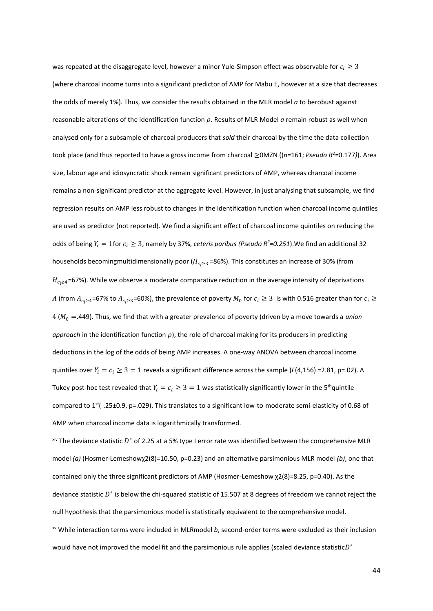was repeated at the disaggregate level, however a minor Yule-Simpson effect was observable for  $c_i \geq 3$ (where charcoal income turns into a significant predictor of AMP for Mabu E, however at a size that decreases the odds of merely 1%). Thus, we consider the results obtained in the MLR model *a* to berobust against reasonable alterations of the identification function p. Results of MLR Model a remain robust as well when analysed only for a subsample of charcoal producers that *sold* their charcoal by the time the data collection took place (and thus reported to have a gross income from charcoal ≥0MZN ((*n*=161; *Pseudo R<sup>2</sup>=*0.177*)*). Area size, labour age and idiosyncratic shock remain significant predictors of AMP, whereas charcoal income remains a non-significant predictor at the aggregate level. However, in just analysing that subsample, we find regression results on AMP less robust to changes in the identification function when charcoal income quintiles are used as predictor (not reported). We find a significant effect of charcoal income quintiles on reducing the odds of being  $Y_i = 1$  for  $c_i \geq 3$ , namely by 37%, *ceteris paribus* (*Pseudo R<sup>2</sup>*=0.251). We find an additional 32 households becomingmultidimensionally poor ( $H_{c, \geq 3}$  =86%). This constitutes an increase of 30% (from  $H_{c_1 \geq 4}$ =67%). While we observe a moderate comparative reduction in the average intensity of deprivations A (from  $A_{c_i\geq4}$ =67% to  $A_{c_i\geq3}$ =60%), the prevalence of poverty  $M_0$  for  $c_i\geq3\,$  is with 0.516 greater than for  $c_i\geq$ 4 (<sup>0</sup> =.449). Thus, we find that with a greater prevalence of poverty (driven by a move towards a *union approach* in the identification function  $\rho$ ), the role of charcoal making for its producers in predicting deductions in the log of the odds of being AMP increases. A one-way ANOVA between charcoal income quintiles over  $Y_i = c_i \geq 3 = 1$  reveals a significant difference across the sample ( $F(4,156) = 2.81$ , p=.02). A Tukey post-hoc test revealed that  $Y_i = c_i \geq 3 = 1$  was statistically significantly lower in the 5<sup>th</sup>quintile compared to 1<sup>st</sup>(-.25±0.9, p=.029). This translates to a significant low-to-moderate semi-elasticity of 0.68 of AMP when charcoal income data is logarithmically transformed.

**.** 

 $x^{\text{iv}}$  The deviance statistic  $D^*$  of 2.25 at a 5% type I error rate was identified between the comprehensive MLR model *(a)* (Hosmer-Lemeshowχ2(8)=10.50, p=0.23) and an alternative parsimonious MLR model *(b)*, one that contained only the three significant predictors of AMP (Hosmer-Lemeshow χ2(8)=8.25, p=0.40). As the deviance statistic  $D^*$  is below the chi-squared statistic of 15.507 at 8 degrees of freedom we cannot reject the null hypothesis that the parsimonious model is statistically equivalent to the comprehensive model. xv While interaction terms were included in MLRmodel *b*, second-order terms were excluded as their inclusion would have not improved the model fit and the parsimonious rule applies (scaled deviance statistic $D^*$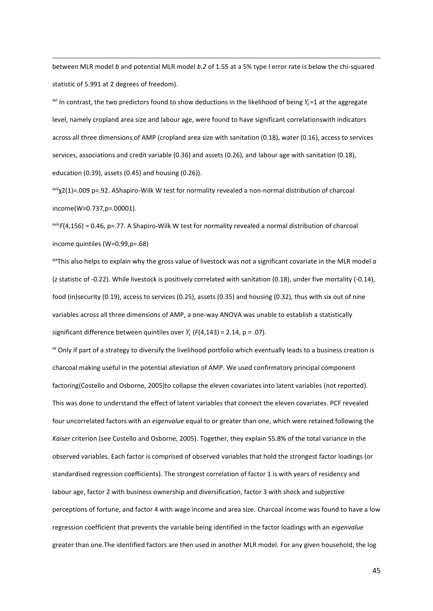between MLR model *b* and potential MLR model *b.2* of 1.55 at a 5% type I error rate is below the chi-squared statistic of 5.991 at 2 degrees of freedom).

**.** 

xvi In contrast, the two predictors found to show deductions in the likelihood of being  $Y_i$ =1 at the aggregate level, namely cropland area size and labour age, were found to have significant correlationswith indicators across all three dimensions of AMP (cropland area size with sanitation (0.18), water (0.16), access to services services, associations and credit variable (0.36) and assets (0.26), and labour age with sanitation (0.18), education (0.39), assets (0.45) and housing (0.26)).

xviiχ2(1)=.009 p=.92. AShapiro-Wilk W test for normality revealed a non-normal distribution of charcoal income(W=0.737,p=.00001).

xviii*F*(4,156) = 0.46, p=.77. A Shapiro-Wilk W test for normality revealed a normal distribution of charcoal income quintiles (W=0.99,p=.68)

 $x$ ixThis also helps to explain why the gross value of livestock was not a significant covariate in the MLR model  $a$ (*z* statistic of -0.22). While livestock is positively correlated with sanitation (0.18), under five mortality (-0.14), food (in)security (0.19), access to services (0.25), assets (0.35) and housing (0.32), thus with six out of nine variables across all three dimensions of AMP, a one-way ANOVA was unable to establish a statistically significant difference between quintiles over  $Y_i$  ( $F(4,143) = 2.14$ ,  $p = .07$ ).

<sup>xx</sup> Only if part of a strategy to diversify the livelihood portfolio which eventually leads to a business creation is charcoal making useful in the potential alleviation of AMP. We used confirmatory principal component factoring(Costello and Osborne, 2005)to collapse the eleven covariates into latent variables (not reported). This was done to understand the effect of latent variables that connect the eleven covariates. PCF revealed four uncorrelated factors with an *eigenvalue* equal to or greater than one, which were retained following the *Kaiser* criterion (see Costello and Osborne, 2005). Together, they explain 55.8% of the total variance in the observed variables. Each factor is comprised of observed variables that hold the strongest factor loadings (or standardised regression coefficients). The strongest correlation of factor 1 is with years of residency and labour age, factor 2 with business ownership and diversification, factor 3 with shock and subjective perceptions of fortune, and factor 4 with wage income and area size. Charcoal income was found to have a low regression coefficient that prevents the variable being identified in the factor loadings with an *eigenvalue* greater than one.The identified factors are then used in another MLR model. For any given household, the log